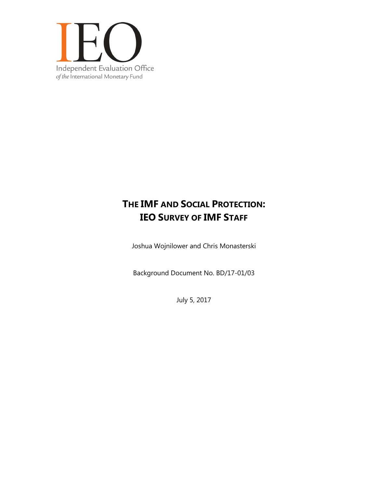

# **THE IMF AND SOCIAL PROTECTION: IEO SURVEY OF IMF STAFF**

Joshua Wojnilower and Chris Monasterski

Background Document No. BD/17-01/03

July 5, 2017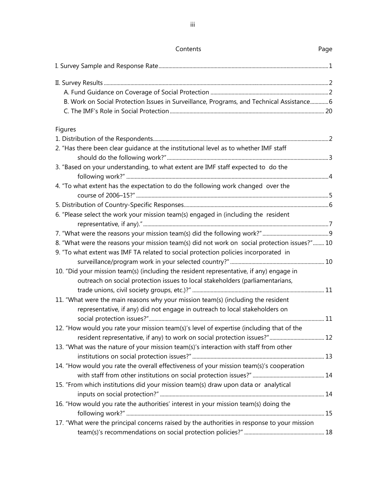| Contents                                                                                     | Page |
|----------------------------------------------------------------------------------------------|------|
|                                                                                              |      |
|                                                                                              |      |
|                                                                                              |      |
| B. Work on Social Protection Issues in Surveillance, Programs, and Technical Assistance 6    |      |
|                                                                                              |      |
|                                                                                              |      |
| Figures                                                                                      |      |
|                                                                                              |      |
| 2. "Has there been clear guidance at the institutional level as to whether IMF staff         |      |
|                                                                                              |      |
| 3. "Based on your understanding, to what extent are IMF staff expected to do the             |      |
| 4. "To what extent has the expectation to do the following work changed over the             |      |
|                                                                                              |      |
|                                                                                              |      |
| 6. "Please select the work your mission team(s) engaged in (including the resident           |      |
|                                                                                              |      |
|                                                                                              |      |
| 8. "What were the reasons your mission team(s) did not work on social protection issues?" 10 |      |
| 9. "To what extent was IMF TA related to social protection policies incorporated in          |      |
|                                                                                              |      |
| 10. "Did your mission team(s) (including the resident representative, if any) engage in      |      |
| outreach on social protection issues to local stakeholders (parliamentarians,                |      |
|                                                                                              |      |
| 11. "What were the main reasons why your mission team(s) (including the resident             |      |
| representative, if any) did not engage in outreach to local stakeholders on                  |      |
|                                                                                              |      |
| 12. "How would you rate your mission team(s)'s level of expertise (including that of the     |      |
|                                                                                              |      |
| 13. "What was the nature of your mission team(s)'s interaction with staff from other         |      |
|                                                                                              |      |
| 14. "How would you rate the overall effectiveness of your mission team(s)'s cooperation      |      |
|                                                                                              |      |
| 15. "From which institutions did your mission team(s) draw upon data or analytical           |      |
|                                                                                              |      |
| 16. "How would you rate the authorities' interest in your mission team(s) doing the          |      |
|                                                                                              |      |
| 17. "What were the principal concerns raised by the authorities in response to your mission  |      |
|                                                                                              |      |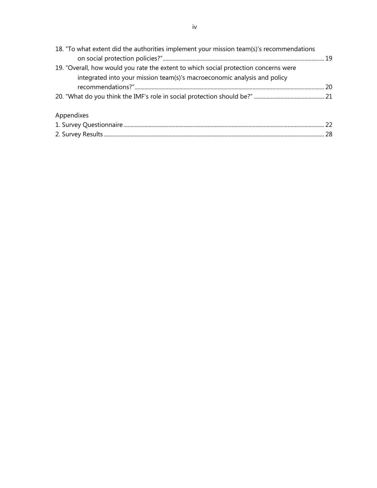| 18. "To what extent did the authorities implement your mission team(s)'s recommendations                                                                         |  |
|------------------------------------------------------------------------------------------------------------------------------------------------------------------|--|
| 19. "Overall, how would you rate the extent to which social protection concerns were<br>integrated into your mission team(s)'s macroeconomic analysis and policy |  |
|                                                                                                                                                                  |  |
|                                                                                                                                                                  |  |
| Appendixes                                                                                                                                                       |  |
|                                                                                                                                                                  |  |
|                                                                                                                                                                  |  |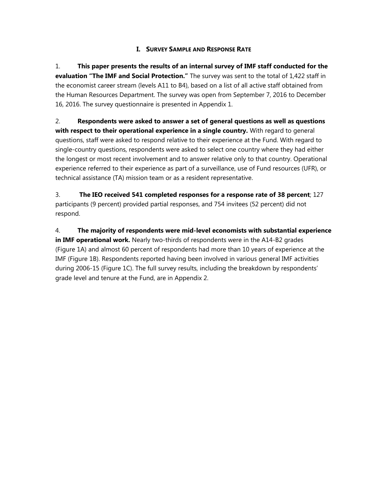## **I. SURVEY SAMPLE AND RESPONSE RATE**

1. **This paper presents the results of an internal survey of IMF staff conducted for the evaluation "The IMF and Social Protection."** The survey was sent to the total of 1,422 staff in the economist career stream (levels A11 to B4), based on a list of all active staff obtained from the Human Resources Department. The survey was open from September 7, 2016 to December 16, 2016. The survey questionnaire is presented in Appendix 1.

2. **Respondents were asked to answer a set of general questions as well as questions with respect to their operational experience in a single country.** With regard to general questions, staff were asked to respond relative to their experience at the Fund. With regard to single-country questions, respondents were asked to select one country where they had either the longest or most recent involvement and to answer relative only to that country. Operational experience referred to their experience as part of a surveillance, use of Fund resources (UFR), or technical assistance (TA) mission team or as a resident representative.

3. **The IEO received 541 completed responses for a response rate of 38 percent**; 127 participants (9 percent) provided partial responses, and 754 invitees (52 percent) did not respond.

4. **The majority of respondents were mid-level economists with substantial experience in IMF operational work.** Nearly two-thirds of respondents were in the A14-B2 grades (Figure 1A) and almost 60 percent of respondents had more than 10 years of experience at the IMF (Figure 1B). Respondents reported having been involved in various general IMF activities during 2006-15 (Figure 1C). The full survey results, including the breakdown by respondents' grade level and tenure at the Fund, are in Appendix 2.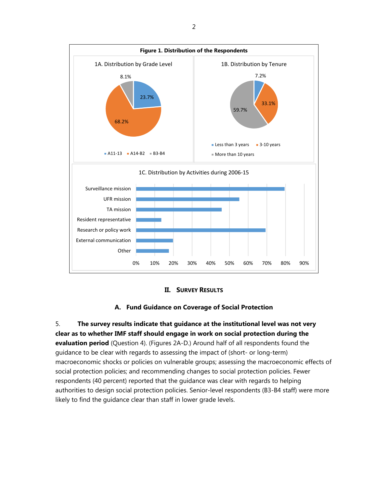



## **A. Fund Guidance on Coverage of Social Protection**

5. **The survey results indicate that guidance at the institutional level was not very clear as to whether IMF staff should engage in work on social protection during the evaluation period** (Question 4). (Figures 2A-D.) Around half of all respondents found the guidance to be clear with regards to assessing the impact of (short- or long-term) macroeconomic shocks or policies on vulnerable groups; assessing the macroeconomic effects of social protection policies; and recommending changes to social protection policies. Fewer respondents (40 percent) reported that the guidance was clear with regards to helping authorities to design social protection policies. Senior-level respondents (B3-B4 staff) were more likely to find the guidance clear than staff in lower grade levels.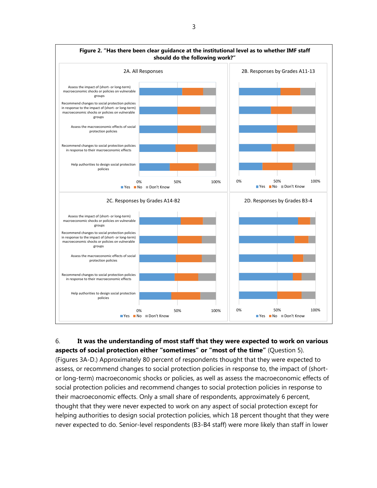

## 6. **It was the understanding of most staff that they were expected to work on various aspects of social protection either "sometimes" or "most of the time"** (Question 5).

(Figures 3A-D.) Approximately 80 percent of respondents thought that they were expected to assess, or recommend changes to social protection policies in response to, the impact of (shortor long-term) macroeconomic shocks or policies, as well as assess the macroeconomic effects of social protection policies and recommend changes to social protection policies in response to their macroeconomic effects. Only a small share of respondents, approximately 6 percent, thought that they were never expected to work on any aspect of social protection except for helping authorities to design social protection policies, which 18 percent thought that they were never expected to do. Senior-level respondents (B3-B4 staff) were more likely than staff in lower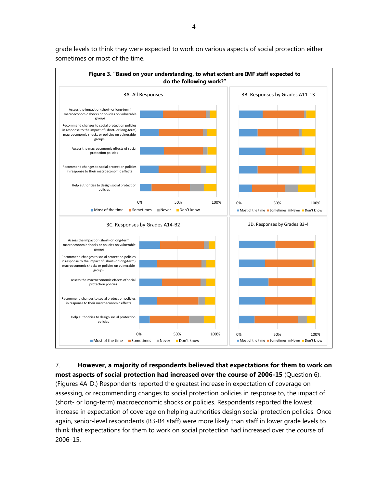

grade levels to think they were expected to work on various aspects of social protection either sometimes or most of the time.

7. **However, a majority of respondents believed that expectations for them to work on most aspects of social protection had increased over the course of 2006-15** (Question 6). (Figures 4A-D.) Respondents reported the greatest increase in expectation of coverage on assessing, or recommending changes to social protection policies in response to, the impact of (short- or long-term) macroeconomic shocks or policies. Respondents reported the lowest increase in expectation of coverage on helping authorities design social protection policies. Once again, senior-level respondents (B3-B4 staff) were more likely than staff in lower grade levels to think that expectations for them to work on social protection had increased over the course of 2006–15.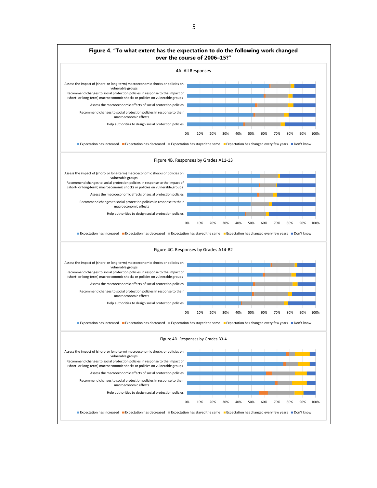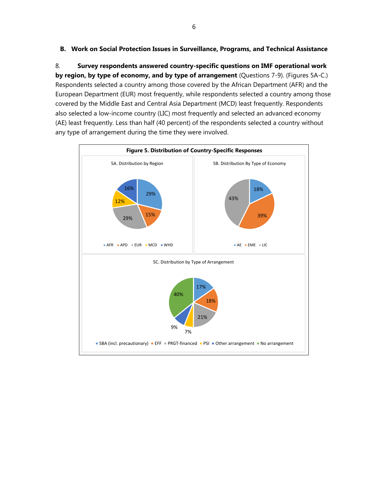## **B. Work on Social Protection Issues in Surveillance, Programs, and Technical Assistance**

8. **Survey respondents answered country-specific questions on IMF operational work by region, by type of economy, and by type of arrangement** (Questions 7-9). (Figures 5A-C.) Respondents selected a country among those covered by the African Department (AFR) and the European Department (EUR) most frequently, while respondents selected a country among those covered by the Middle East and Central Asia Department (MCD) least frequently. Respondents also selected a low-income country (LIC) most frequently and selected an advanced economy (AE) least frequently. Less than half (40 percent) of the respondents selected a country without any type of arrangement during the time they were involved.

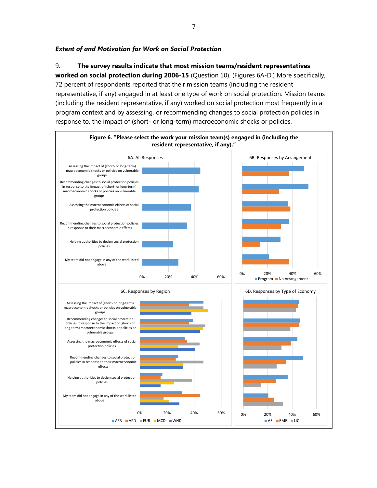## *Extent of and Motivation for Work on Social Protection*

9. **The survey results indicate that most mission teams/resident representatives** 

**worked on social protection during 2006-15** (Question 10). (Figures 6A-D.) More specifically, 72 percent of respondents reported that their mission teams (including the resident representative, if any) engaged in at least one type of work on social protection. Mission teams (including the resident representative, if any) worked on social protection most frequently in a program context and by assessing, or recommending changes to social protection policies in response to, the impact of (short- or long-term) macroeconomic shocks or policies.

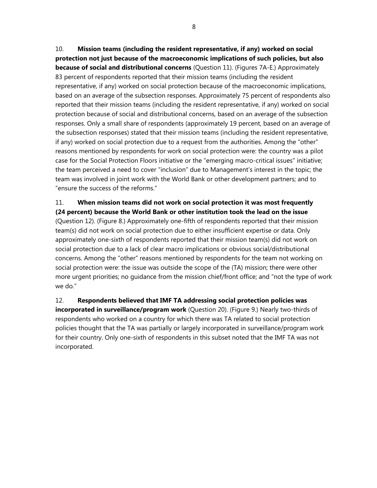10. **Mission teams (including the resident representative, if any) worked on social protection not just because of the macroeconomic implications of such policies, but also because of social and distributional concerns** (Question 11). (Figures 7A-E.) Approximately 83 percent of respondents reported that their mission teams (including the resident representative, if any) worked on social protection because of the macroeconomic implications, based on an average of the subsection responses. Approximately 75 percent of respondents also reported that their mission teams (including the resident representative, if any) worked on social protection because of social and distributional concerns, based on an average of the subsection responses. Only a small share of respondents (approximately 19 percent, based on an average of the subsection responses) stated that their mission teams (including the resident representative, if any) worked on social protection due to a request from the authorities. Among the "other" reasons mentioned by respondents for work on social protection were: the country was a pilot case for the Social Protection Floors initiative or the "emerging macro-critical issues" initiative; the team perceived a need to cover "inclusion" due to Management's interest in the topic; the team was involved in joint work with the World Bank or other development partners; and to "ensure the success of the reforms."

## 11. **When mission teams did not work on social protection it was most frequently**

**(24 percent) because the World Bank or other institution took the lead on the issue** (Question 12). (Figure 8.) Approximately one-fifth of respondents reported that their mission team(s) did not work on social protection due to either insufficient expertise or data. Only approximately one-sixth of respondents reported that their mission team(s) did not work on social protection due to a lack of clear macro implications or obvious social/distributional concerns. Among the "other" reasons mentioned by respondents for the team not working on social protection were: the issue was outside the scope of the (TA) mission; there were other more urgent priorities; no guidance from the mission chief/front office; and "not the type of work we do."

12. **Respondents believed that IMF TA addressing social protection policies was incorporated in surveillance/program work** (Question 20). (Figure 9.) Nearly two-thirds of respondents who worked on a country for which there was TA related to social protection policies thought that the TA was partially or largely incorporated in surveillance/program work for their country. Only one-sixth of respondents in this subset noted that the IMF TA was not incorporated.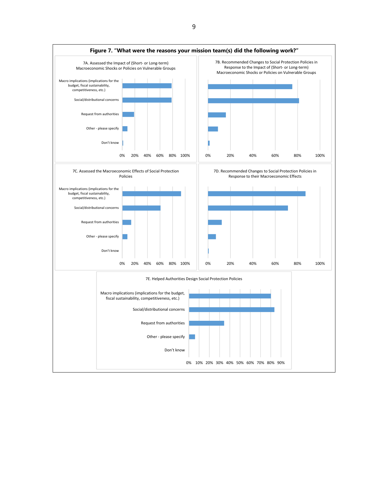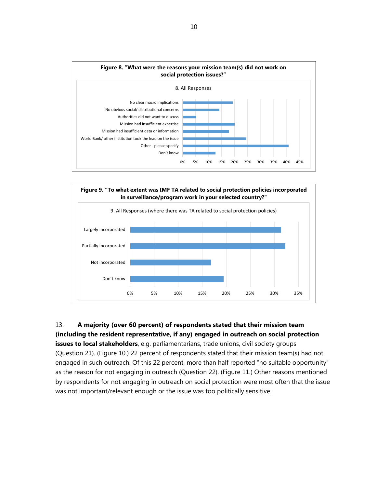



13. **A majority (over 60 percent) of respondents stated that their mission team (including the resident representative, if any) engaged in outreach on social protection issues to local stakeholders**, e.g. parliamentarians, trade unions, civil society groups (Question 21). (Figure 10.) 22 percent of respondents stated that their mission team(s) had not engaged in such outreach. Of this 22 percent, more than half reported "no suitable opportunity"

as the reason for not engaging in outreach (Question 22). (Figure 11.) Other reasons mentioned by respondents for not engaging in outreach on social protection were most often that the issue was not important/relevant enough or the issue was too politically sensitive.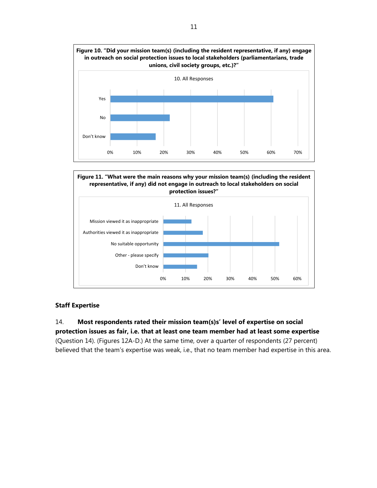



## **Staff Expertise**

14. **Most respondents rated their mission team(s)s' level of expertise on social protection issues as fair, i.e. that at least one team member had at least some expertise**  (Question 14). (Figures 12A-D.) At the same time, over a quarter of respondents (27 percent) believed that the team's expertise was weak, i.e., that no team member had expertise in this area.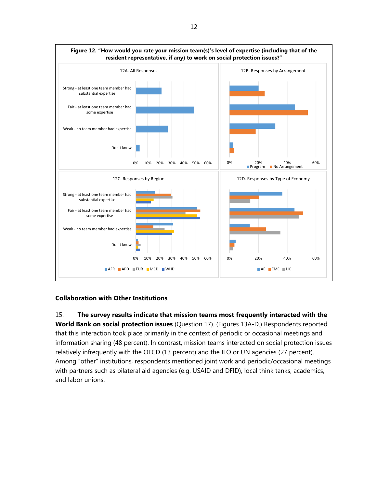

## **Collaboration with Other Institutions**

15. **The survey results indicate that mission teams most frequently interacted with the World Bank on social protection issues** (Question 17). (Figures 13A-D.) Respondents reported that this interaction took place primarily in the context of periodic or occasional meetings and information sharing (48 percent). In contrast, mission teams interacted on social protection issues relatively infrequently with the OECD (13 percent) and the ILO or UN agencies (27 percent). Among "other" institutions, respondents mentioned joint work and periodic/occasional meetings with partners such as bilateral aid agencies (e.g. USAID and DFID), local think tanks, academics, and labor unions.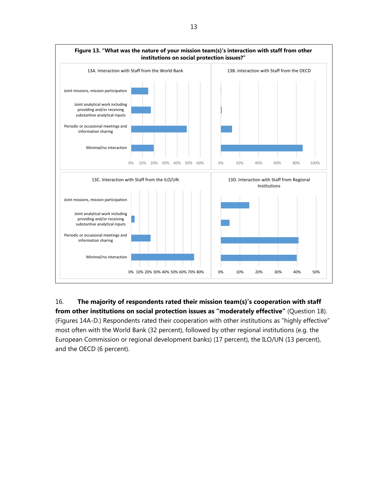

16. **The majority of respondents rated their mission team(s)'s cooperation with staff from other institutions on social protection issues as "moderately effective"** (Question 18). (Figures 14A-D.) Respondents rated their cooperation with other institutions as "highly effective" most often with the World Bank (32 percent), followed by other regional institutions (e.g. the European Commission or regional development banks) (17 percent), the ILO/UN (13 percent), and the OECD (6 percent).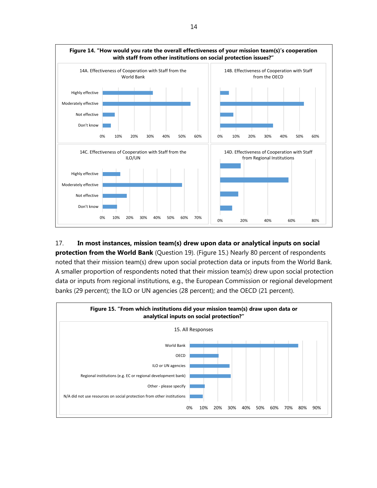

## 17. **In most instances, mission team(s) drew upon data or analytical inputs on social**

**protection from the World Bank** (Question 19). (Figure 15.) Nearly 80 percent of respondents noted that their mission team(s) drew upon social protection data or inputs from the World Bank. A smaller proportion of respondents noted that their mission team(s) drew upon social protection data or inputs from regional institutions, e.g., the European Commission or regional development banks (29 percent); the ILO or UN agencies (28 percent); and the OECD (21 percent).

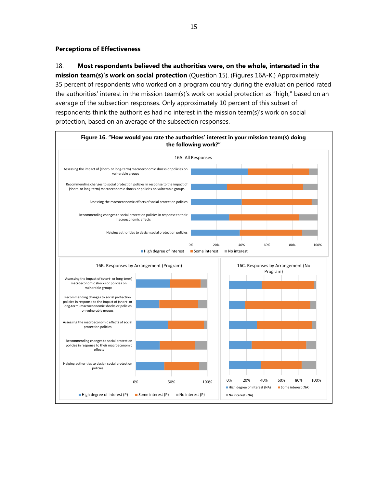#### **Perceptions of Effectiveness**

## 18. **Most respondents believed the authorities were, on the whole, interested in the**

**mission team(s)'s work on social protection** (Question 15). (Figures 16A-K.) Approximately 35 percent of respondents who worked on a program country during the evaluation period rated the authorities' interest in the mission team(s)'s work on social protection as "high," based on an average of the subsection responses. Only approximately 10 percent of this subset of respondents think the authorities had no interest in the mission team(s)'s work on social protection, based on an average of the subsection responses.

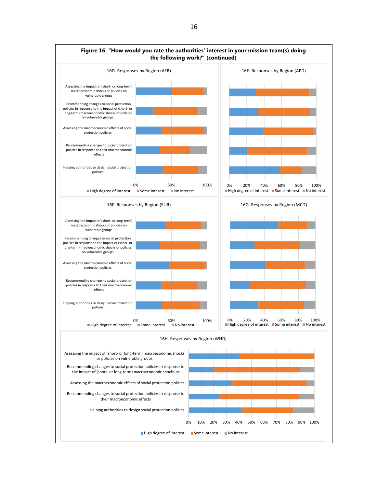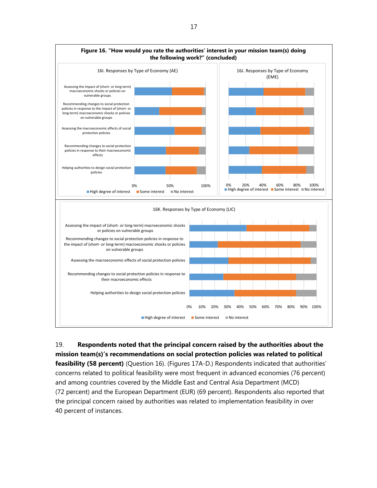

19. **Respondents noted that the principal concern raised by the authorities about the mission team(s)'s recommendations on social protection policies was related to political feasibility (58 percent)** (Question 16). (Figures 17A-D.) Respondents indicated that authorities' concerns related to political feasibility were most frequent in advanced economies (76 percent) and among countries covered by the Middle East and Central Asia Department (MCD) (72 percent) and the European Department (EUR) (69 percent). Respondents also reported that

the principal concern raised by authorities was related to implementation feasibility in over 40 percent of instances.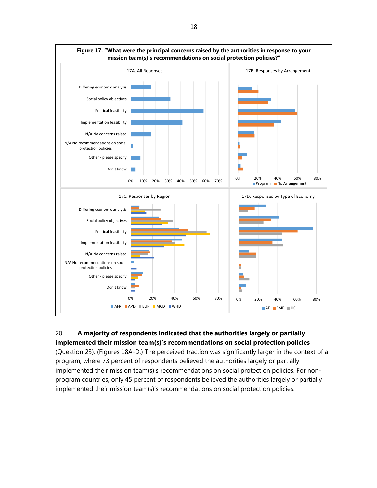

## 20. **A majority of respondents indicated that the authorities largely or partially implemented their mission team(s)'s recommendations on social protection policies**

(Question 23). (Figures 18A-D.) The perceived traction was significantly larger in the context of a program, where 73 percent of respondents believed the authorities largely or partially implemented their mission team(s)'s recommendations on social protection policies. For nonprogram countries, only 45 percent of respondents believed the authorities largely or partially implemented their mission team(s)'s recommendations on social protection policies.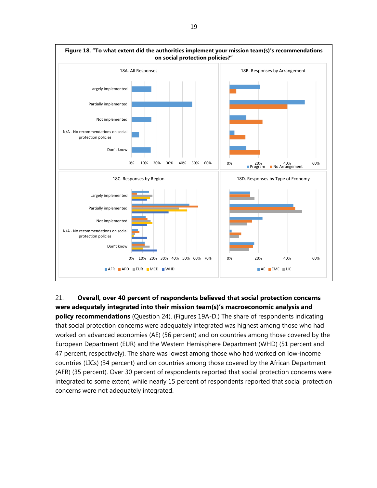

21. **Overall, over 40 percent of respondents believed that social protection concerns were adequately integrated into their mission team(s)'s macroeconomic analysis and policy recommendations** (Question 24). (Figures 19A-D.) The share of respondents indicating that social protection concerns were adequately integrated was highest among those who had worked on advanced economies (AE) (56 percent) and on countries among those covered by the European Department (EUR) and the Western Hemisphere Department (WHD) (51 percent and 47 percent, respectively). The share was lowest among those who had worked on low-income countries (LICs) (34 percent) and on countries among those covered by the African Department (AFR) (35 percent). Over 30 percent of respondents reported that social protection concerns were integrated to some extent, while nearly 15 percent of respondents reported that social protection concerns were not adequately integrated.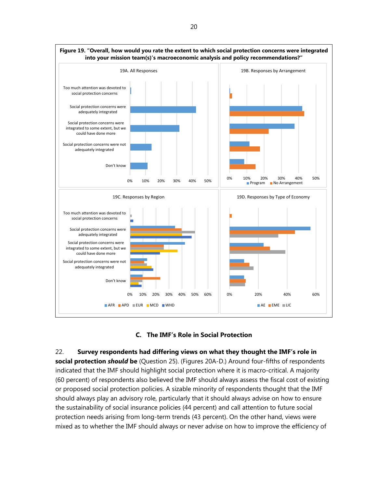



22. **Survey respondents had differing views on what they thought the IMF's role in social protection** *should* **be** (Question 25). (Figures 20A-D.) Around four-fifths of respondents indicated that the IMF should highlight social protection where it is macro-critical. A majority (60 percent) of respondents also believed the IMF should always assess the fiscal cost of existing or proposed social protection policies. A sizable minority of respondents thought that the IMF should always play an advisory role, particularly that it should always advise on how to ensure the sustainability of social insurance policies (44 percent) and call attention to future social protection needs arising from long-term trends (43 percent). On the other hand, views were mixed as to whether the IMF should always or never advise on how to improve the efficiency of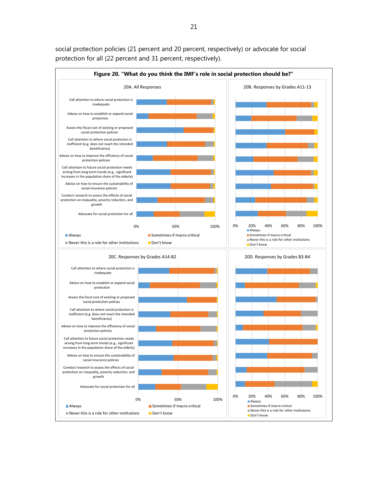

social protection policies (21 percent and 20 percent, respectively) or advocate for social protection for all (22 percent and 31 percent, respectively).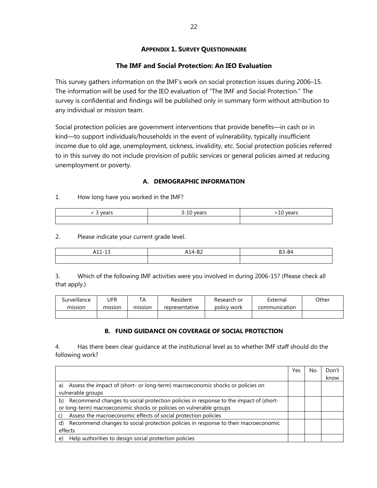## **APPENDIX 1. SURVEY QUESTIONNAIRE**

## **The IMF and Social Protection: An IEO Evaluation**

This survey gathers information on the IMF's work on social protection issues during 2006–15. The information will be used for the IEO evaluation of "The IMF and Social Protection." The survey is confidential and findings will be published only in summary form without attribution to any individual or mission team.

Social protection policies are government interventions that provide benefits—in cash or in kind—to support individuals/households in the event of vulnerability, typically insufficient income due to old age, unemployment, sickness, invalidity, etc. Social protection policies referred to in this survey do not include provision of public services or general policies aimed at reducing unemployment or poverty.

## **A. DEMOGRAPHIC INFORMATION**

## 1. How long have you worked in the IMF?

2. Please indicate your current grade level.

| $\sim$<br>$-11$<br>. .<br>┑⊥⊥ ⊥◡ | $\sim$<br>◡<br>$\sim$ | וגם כפ |
|----------------------------------|-----------------------|--------|
|                                  |                       |        |

3. Which of the following IMF activities were you involved in during 2006-15? (Please check all that apply.)

| Surveillance | UFR     | ТA      | Resident       | Research or | External      | Other |
|--------------|---------|---------|----------------|-------------|---------------|-------|
| mission      | mission | mission | representative | policy work | communication |       |
|              |         |         |                |             |               |       |

## **B. FUND GUIDANCE ON COVERAGE OF SOCIAL PROTECTION**

4. Has there been clear guidance at the institutional level as to whether IMF staff should do the following work?

|                                                                                            | Yes | Nο | Don't |
|--------------------------------------------------------------------------------------------|-----|----|-------|
|                                                                                            |     |    | know  |
| Assess the impact of (short- or long-term) macroeconomic shocks or policies on<br>a)       |     |    |       |
| vulnerable groups                                                                          |     |    |       |
| Recommend changes to social protection policies in response to the impact of (short-<br>b) |     |    |       |
| or long-term) macroeconomic shocks or policies on vulnerable groups                        |     |    |       |
| Assess the macroeconomic effects of social protection policies                             |     |    |       |
| Recommend changes to social protection policies in response to their macroeconomic<br>d)   |     |    |       |
| effects                                                                                    |     |    |       |
| Help authorities to design social protection policies<br>e)                                |     |    |       |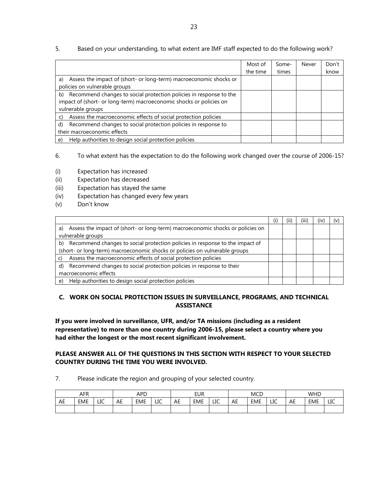|                                                                                                                                                                      | Most of<br>the time | Some-<br>times | Never | Don't<br>know |
|----------------------------------------------------------------------------------------------------------------------------------------------------------------------|---------------------|----------------|-------|---------------|
| Assess the impact of (short- or long-term) macroeconomic shocks or<br>a)<br>policies on vulnerable groups                                                            |                     |                |       |               |
| Recommend changes to social protection policies in response to the<br>b)<br>impact of (short- or long-term) macroeconomic shocks or policies on<br>vulnerable groups |                     |                |       |               |
| Assess the macroeconomic effects of social protection policies<br>C)                                                                                                 |                     |                |       |               |
| Recommend changes to social protection policies in response to<br>d)<br>their macroeconomic effects                                                                  |                     |                |       |               |
| Help authorities to design social protection policies<br>e)                                                                                                          |                     |                |       |               |

## 5. Based on your understanding, to what extent are IMF staff expected to do the following work?

6. To what extent has the expectation to do the following work changed over the course of 2006-15?

- (i) Expectation has increased
- (ii) Expectation has decreased
- (iii) Expectation has stayed the same
- (iv) Expectation has changed every few years
- (v) Don't know

|                                                                                   | (11) | (iii) | Ï١ |  |
|-----------------------------------------------------------------------------------|------|-------|----|--|
| a) Assess the impact of (short- or long-term) macroeconomic shocks or policies on |      |       |    |  |
| vulnerable groups                                                                 |      |       |    |  |
| b) Recommend changes to social protection policies in response to the impact of   |      |       |    |  |
| (short- or long-term) macroeconomic shocks or policies on vulnerable groups       |      |       |    |  |
| Assess the macroeconomic effects of social protection policies                    |      |       |    |  |
| Recommend changes to social protection policies in response to their<br>d)        |      |       |    |  |
| macroeconomic effects                                                             |      |       |    |  |
| Help authorities to design social protection policies<br>e)                       |      |       |    |  |

#### **C. WORK ON SOCIAL PROTECTION ISSUES IN SURVEILLANCE, PROGRAMS, AND TECHNICAL ASSISTANCE**

**If you were involved in surveillance, UFR, and/or TA missions (including as a resident representative) to more than one country during 2006-15, please select a country where you had either the longest or the most recent significant involvement.** 

#### **PLEASE ANSWER ALL OF THE QUESTIONS IN THIS SECTION WITH RESPECT TO YOUR SELECTED COUNTRY DURING THE TIME YOU WERE INVOLVED.**

7. Please indicate the region and grouping of your selected country.

| AFR |            | APD |    | EUR        |     | <b>MCD</b> |            | <b>WHD</b> |    |     |     |         |            |                     |
|-----|------------|-----|----|------------|-----|------------|------------|------------|----|-----|-----|---------|------------|---------------------|
| AE  | <b>EME</b> | LIC | AE | <b>EME</b> | LIC | AE         | <b>EME</b> | LIC        | AE | EME | LIC | -<br>AL | <b>EME</b> | $\overline{f}$<br>ᅭ |
|     |            |     |    |            |     |            |            |            |    |     |     |         |            |                     |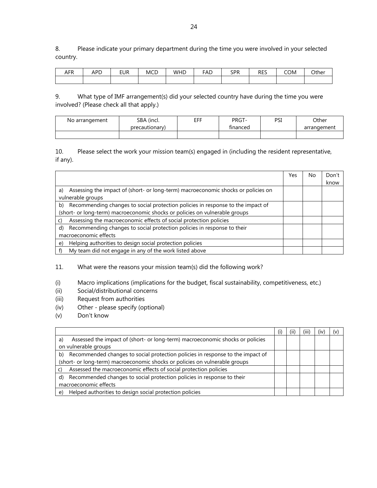8. Please indicate your primary department during the time you were involved in your selected country.

| . ED<br>AFN | APD | eur | <b>MCD</b> | WHD | FAL | <b>SPR</b><br>ັບເ | RES | COM | Other |
|-------------|-----|-----|------------|-----|-----|-------------------|-----|-----|-------|
|             |     |     |            |     |     |                   |     |     |       |

9. What type of IMF arrangement(s) did your selected country have during the time you were involved? (Please check all that apply.)

| No arrangement | SBA (incl.     | EFF | PRGT-    | PSI | Other       |
|----------------|----------------|-----|----------|-----|-------------|
|                | precautionary) |     | financed |     | arrangement |
|                |                |     |          |     |             |

10. Please select the work your mission team(s) engaged in (including the resident representative, if any).

|                                                                                         | Yes | No | Don't |
|-----------------------------------------------------------------------------------------|-----|----|-------|
|                                                                                         |     |    | know  |
| Assessing the impact of (short- or long-term) macroeconomic shocks or policies on<br>a) |     |    |       |
| vulnerable groups                                                                       |     |    |       |
| Recommending changes to social protection policies in response to the impact of<br>b)   |     |    |       |
| (short- or long-term) macroeconomic shocks or policies on vulnerable groups             |     |    |       |
| Assessing the macroeconomic effects of social protection policies                       |     |    |       |
| Recommending changes to social protection policies in response to their<br>d)           |     |    |       |
| macroeconomic effects                                                                   |     |    |       |
| Helping authorities to design social protection policies<br>e)                          |     |    |       |
| My team did not engage in any of the work listed above                                  |     |    |       |

11. What were the reasons your mission team(s) did the following work?

(i) Macro implications (implications for the budget, fiscal sustainability, competitiveness, etc.)

- (ii) Social/distributional concerns
- (iii) Request from authorities
- (iv) Other please specify (optional)
- (v) Don't know

|                                                                                      | (i) | (III | (iv | (v |
|--------------------------------------------------------------------------------------|-----|------|-----|----|
| Assessed the impact of (short- or long-term) macroeconomic shocks or policies<br>a)  |     |      |     |    |
| on vulnerable groups                                                                 |     |      |     |    |
| Recommended changes to social protection policies in response to the impact of<br>b) |     |      |     |    |
| (short- or long-term) macroeconomic shocks or policies on vulnerable groups          |     |      |     |    |
| Assessed the macroeconomic effects of social protection policies                     |     |      |     |    |
| Recommended changes to social protection policies in response to their<br>d)         |     |      |     |    |
| macroeconomic effects                                                                |     |      |     |    |
| e) Helped authorities to design social protection policies                           |     |      |     |    |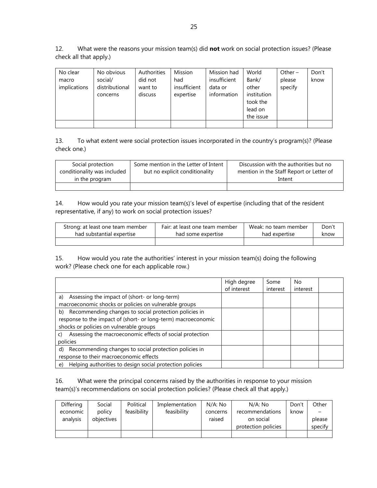12. What were the reasons your mission team(s) did **not** work on social protection issues? (Please check all that apply.)

| No clear<br>macro<br>implications | No obvious<br>social/<br>distributional<br>concerns | Authorities<br>did not<br>want to<br>discuss | <b>Mission</b><br>had<br>insufficient<br>expertise | Mission had<br>insufficient<br>data or<br>information | World<br>Bank/<br>other<br>institution<br>took the<br>lead on | Other $-$<br>please<br>specify | Don't<br>know |
|-----------------------------------|-----------------------------------------------------|----------------------------------------------|----------------------------------------------------|-------------------------------------------------------|---------------------------------------------------------------|--------------------------------|---------------|
|                                   |                                                     |                                              |                                                    |                                                       | the issue                                                     |                                |               |

13. To what extent were social protection issues incorporated in the country's program(s)? (Please check one.)

| Social protection           | Some mention in the Letter of Intent | Discussion with the authorities but no   |
|-----------------------------|--------------------------------------|------------------------------------------|
| conditionality was included | but no explicit conditionality       | mention in the Staff Report or Letter of |
| in the program              |                                      | Intent                                   |
|                             |                                      |                                          |

14. How would you rate your mission team(s)'s level of expertise (including that of the resident representative, if any) to work on social protection issues?

| Strong: at least one team member | Fair: at least one team member | Weak: no team member | Don't |
|----------------------------------|--------------------------------|----------------------|-------|
| had substantial expertise        | had some expertise             | had expertise        | know  |
|                                  |                                |                      |       |

15. How would you rate the authorities' interest in your mission team(s) doing the following work? (Please check one for each applicable row.)

|                                                                | High degree | Some     | No       |
|----------------------------------------------------------------|-------------|----------|----------|
|                                                                | of interest | interest | interest |
| Assessing the impact of (short- or long-term)<br>a)            |             |          |          |
| macroeconomic shocks or policies on vulnerable groups          |             |          |          |
| b) Recommending changes to social protection policies in       |             |          |          |
| response to the impact of (short- or long-term) macroeconomic  |             |          |          |
| shocks or policies on vulnerable groups                        |             |          |          |
| Assessing the macroeconomic effects of social protection       |             |          |          |
| policies                                                       |             |          |          |
| Recommending changes to social protection policies in<br>d)    |             |          |          |
| response to their macroeconomic effects                        |             |          |          |
| Helping authorities to design social protection policies<br>e) |             |          |          |

16. What were the principal concerns raised by the authorities in response to your mission team(s)'s recommendations on social protection policies? (Please check all that apply.)

| Differing | Social     | Political   | Implementation | N/A: No  | N/A: No             | Don't | Other   |
|-----------|------------|-------------|----------------|----------|---------------------|-------|---------|
| economic  | policy     | feasibility | feasibility    | concerns | recommendations     | know  |         |
| analysis  | objectives |             |                | raised   | on social           |       | please  |
|           |            |             |                |          | protection policies |       | specify |
|           |            |             |                |          |                     |       |         |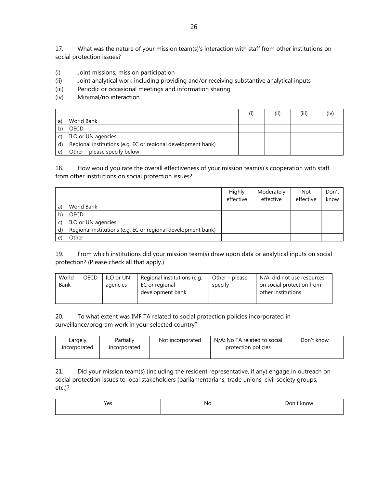17. What was the nature of your mission team(s)'s interaction with staff from other institutions on social protection issues?

- (i) Joint missions, mission participation
- (ii) Joint analytical work including providing and/or receiving substantive analytical inputs
- (iii) Periodic or occasional meetings and information sharing
- (iv) Minimal/no interaction

|    |                                                              | (i) | (iii) |  |
|----|--------------------------------------------------------------|-----|-------|--|
|    | World Bank                                                   |     |       |  |
|    | OECD                                                         |     |       |  |
|    | ILO or UN agencies                                           |     |       |  |
| d) | Regional institutions (e.g. EC or regional development bank) |     |       |  |
| e) | Other - please specify below                                 |     |       |  |

18. How would you rate the overall effectiveness of your mission team(s)'s cooperation with staff from other institutions on social protection issues?

|    |                                                              | Highly    | Moderately | <b>Not</b> | Don't |
|----|--------------------------------------------------------------|-----------|------------|------------|-------|
|    |                                                              | effective | effective  | effective  | know  |
| a) | World Bank                                                   |           |            |            |       |
|    | <b>OECD</b>                                                  |           |            |            |       |
|    | ILO or UN agencies                                           |           |            |            |       |
| d) | Regional institutions (e.g. EC or regional development bank) |           |            |            |       |
|    | Other                                                        |           |            |            |       |

19. From which institutions did your mission team(s) draw upon data or analytical inputs on social protection? (Please check all that apply.)

| World | OECD | ILO or UN | Regional institutions (e.g. | Other – please | N/A: did not use resources |
|-------|------|-----------|-----------------------------|----------------|----------------------------|
| Bank  |      | agencies  | EC or regional              | specify        | on social protection from  |
|       |      |           | development bank            |                | other institutions         |
|       |      |           |                             |                |                            |

20. To what extent was IMF TA related to social protection policies incorporated in surveillance/program work in your selected country?

| Largely      | Partially    | Not incorporated | N/A: No TA related to social | Don't know |
|--------------|--------------|------------------|------------------------------|------------|
| incorporated | incorporated |                  | protection policies          |            |
|              |              |                  |                              |            |

21. Did your mission team(s) (including the resident representative, if any) engage in outreach on social protection issues to local stakeholders (parliamentarians, trade unions, civil society groups, etc.)?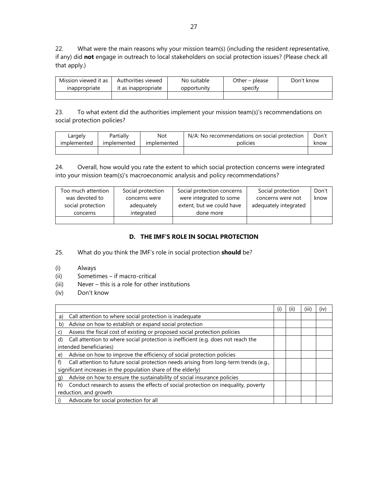22. What were the main reasons why your mission team(s) (including the resident representative, if any) did **not** engage in outreach to local stakeholders on social protection issues? (Please check all that apply.)

| Mission viewed it as | Authorities viewed  | No suitable | Other – please | Don't know |
|----------------------|---------------------|-------------|----------------|------------|
| inappropriate        | it as inappropriate | opportunity | specity        |            |
|                      |                     |             |                |            |

23. To what extent did the authorities implement your mission team(s)'s recommendations on social protection policies?

| Largely     | Partially   | Not         | N/A: No recommendations on social protection | Don't |
|-------------|-------------|-------------|----------------------------------------------|-------|
| implemented | implemented | implemented | policies                                     | know  |
|             |             |             |                                              |       |

24. Overall, how would you rate the extent to which social protection concerns were integrated into your mission team(s)'s macroeconomic analysis and policy recommendations?

| Too much attention | Social protection | Social protection concerns | Social protection     | Don't |
|--------------------|-------------------|----------------------------|-----------------------|-------|
| was devoted to     | concerns were     | were integrated to some    | concerns were not     | know  |
| social protection  | adequately        | extent, but we could have  | adequately integrated |       |
| concerns           | integrated        | done more                  |                       |       |
|                    |                   |                            |                       |       |

## **D. THE IMF'S ROLE IN SOCIAL PROTECTION**

- 25. What do you think the IMF's role in social protection **should** be?
- (i) Always
- (ii) Sometimes if macro-critical
- (iii) Never this is a role for other institutions
- (iv) Don't know

|                                                                                             | (۱) | (11) | (III) | (IV) |
|---------------------------------------------------------------------------------------------|-----|------|-------|------|
| Call attention to where social protection is inadequate<br>a)                               |     |      |       |      |
| Advise on how to establish or expand social protection<br>b)                                |     |      |       |      |
| Assess the fiscal cost of existing or proposed social protection policies<br>C)             |     |      |       |      |
| Call attention to where social protection is inefficient (e.g. does not reach the<br>d)     |     |      |       |      |
| intended beneficiaries)                                                                     |     |      |       |      |
| Advise on how to improve the efficiency of social protection policies<br>e)                 |     |      |       |      |
| Call attention to future social protection needs arising from long-term trends (e.g.,<br>f) |     |      |       |      |
| significant increases in the population share of the elderly)                               |     |      |       |      |
| Advise on how to ensure the sustainability of social insurance policies<br>q)               |     |      |       |      |
| Conduct research to assess the effects of social protection on inequality, poverty<br>h)    |     |      |       |      |
| reduction, and growth                                                                       |     |      |       |      |
| Advocate for social protection for all                                                      |     |      |       |      |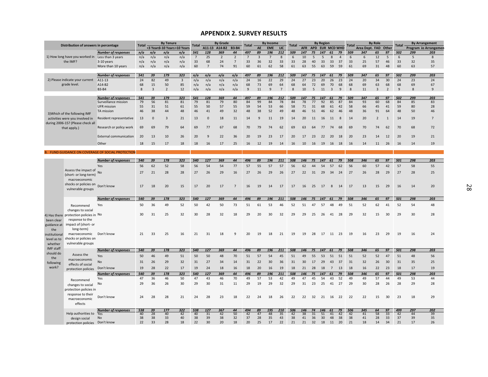#### **APPENDIX 2. SURVEY RESULTS**

|                  | Distribution of answers in percentage            |                                                          | <b>Total</b> |                | <b>By Tenure</b>            |                | <b>Total</b>   |                      | <b>By Grade</b> |                      | Total          |          | <b>By Income</b> |                | <b>Total</b> |            |          | <b>By Region</b> |                         |          | Total    |                | <b>By Role</b> |                | <b>Total</b> |              | <b>By Arrangement</b> |
|------------------|--------------------------------------------------|----------------------------------------------------------|--------------|----------------|-----------------------------|----------------|----------------|----------------------|-----------------|----------------------|----------------|----------|------------------|----------------|--------------|------------|----------|------------------|-------------------------|----------|----------|----------------|----------------|----------------|--------------|--------------|-----------------------|
|                  |                                                  |                                                          |              |                | <3 Years3-10 Years>10 Years |                |                |                      | A11-13 A14-B2   | <b>B3-B4</b>         |                | AE       | <b>EME</b>       | LIC            |              | <b>AFR</b> |          | APD EUR MCD WHD  |                         |          |          | Area Dept. FAD |                | Other          |              |              | Program Io Arrangemen |
|                  |                                                  | <b>Number of responses</b>                               | n/a          | n/a            | n/a                         | n/a            | 541            | 128                  | 369             | 44                   | 497            | 89       | 196              | 212            | 509          | 147        | 75       | 147              | 61                      | 79       | 509      | 347            | 65             | 97             | 502          | 299          | 203                   |
|                  | 1) How long have you worked in Less than 3 years |                                                          | n/a          | n/a            | n/a                         | n/a            | $\overline{7}$ | 25                   | $\overline{2}$  | $\overline{2}$       | $\overline{7}$ | 3        | 7                | 8              | 6            | 10         | -5       | 5                | 8                       | 4        | 6        | 6              | 12             | 5              | 6            | 5            | 8                     |
|                  | the IMF?                                         | 3-10 years                                               | n/a          | n/a            | n/a                         | n/a            | 33<br>60       | 68<br>$\overline{7}$ | 24<br>74        | $\overline{7}$<br>91 | 33<br>60       | 36<br>61 | 32<br>62         | 33<br>58       | 33<br>61     | 28<br>63   | 40<br>55 | 33<br>63         | 33<br>59                | 37<br>59 | 33<br>61 | 25<br>69       | 57<br>31       | 46<br>48       | 33<br>60     | 32<br>63     | 35<br>57              |
|                  |                                                  | More than 10 years                                       | n/a          | n/a            | n/a                         | n/a            |                |                      |                 |                      |                |          |                  |                |              |            |          |                  |                         |          |          |                |                |                |              |              |                       |
|                  |                                                  | <b>Number of responses</b>                               | 541          | 39             | 179                         | 323            | n/a            | n/a                  | n/a             | n/a                  | 497            | 89       | 196              | 212            | 509          | 147        | 75       | 147              | 61                      | 79       | 509      | 347            | 65             | 97             | 502          | 299          | 203                   |
|                  | 2) Please indicate your current                  | A11-13                                                   | 24           | 82             | 49                          | $\overline{3}$ | n/a            | n/a                  | n/a             | n/a                  | 24             | 16       | 22               | 29             | 24           | 27         | 23       | 20               | 26                      | 23       | 24       | 20             | 34             | 30             | 24           | 23           | 24                    |
|                  | grade level.                                     | A14-B2                                                   | 68           | 15             | 50                          | 85             | n/a            | n/a                  | n/a             | n/a                  | 68             | 73       | 69               | 64             | 68           | 64         | 72       | 69               | 70                      | 68       | 68       | 69             | 63             | 68             | 68           | 69           | 67                    |
|                  |                                                  | <b>B3-B4</b>                                             | $\mathbf{8}$ | $\overline{3}$ | $\overline{2}$              | 12             | n/a            | n/a                  | n/a             | n/a                  | $\overline{9}$ | 11       | $\mathbf{q}$     | $\overline{7}$ | 8            | 10         | 5        | 11               | $\overline{\mathbf{3}}$ | 9        | 8        | 11             | $\overline{3}$ | $\overline{2}$ | $\mathbf{q}$ | $\mathbf{R}$ | 9                     |
|                  |                                                  |                                                          |              |                |                             |                |                |                      |                 |                      |                |          |                  |                |              |            |          |                  |                         |          |          |                |                |                |              |              |                       |
|                  |                                                  | <b>Number of responses</b>                               | 541          | 39             | 179                         | 323            | 541            | 128                  | 369             | 44                   | 497            | 89       | 196              | 212            | 509          | 147        | 75       | 147              | 61                      | 79       | 509      | 347            | 65             | 97             | 502          | 299          | 203                   |
|                  |                                                  | Surveillance mission                                     | 79           | 56             | 81                          | 81             | 79             | 81                   | 79              | 80                   | 84             | 99       | 84               | 78             | 84           | 78         | 77       | 92               | 85                      | 87       | 84       | 93             | 60             | 68             | 84           | 85           | 83                    |
|                  |                                                  | <b>UFR</b> mission                                       | 55           | 31             | 51                          | 61             | 55             | 50                   | 57              | 55                   | 59             | 54       | 53               | 66             | 58           | 71         | 31       | 68               | 61                      | 42       | 58       | 66             | 45             | 41             | 59           | 80           | 28                    |
|                  | 3) Which of the following IMF                    | TA mission                                               | 46           | 38             | 44                          | 48             | 46             | 41                   | 49              | 32                   | 48             | 38       | 52               | 49             | 48           | 46         | 51       | 46               | 62                      | 46       | 48       | 36             | 91             | 64             | 48           | 50           | 46                    |
|                  | activities were you involved in                  | Resident representative                                  | 13           | $\mathbf{0}$   | 3                           | 21             | 13             | $\mathbf 0$          | 18              | 11                   | 14             | 9        | 11               | 19             | 14           | 20         | 11       | 16               | 11                      | 8        | 14       | 20             | $\overline{2}$ | 1              | 14           | 19           | $\overline{7}$        |
|                  | during 2006-15? (Please check all                |                                                          |              |                |                             |                |                |                      |                 |                      |                |          |                  |                |              |            |          |                  |                         |          |          |                |                |                |              |              |                       |
|                  | that apply.)                                     | Research or policy work                                  | 69           | 69             | 79                          | 64             | 69             | 77                   | 67              | 68                   | 70             | 79       | 74               | 62             | 69           | 63         | 64       | 77               | 74                      | 68       | 69       | 70             | 74             | 62             | 70           | 68           | 72                    |
|                  |                                                  |                                                          |              |                |                             |                |                |                      |                 |                      |                |          |                  |                |              |            |          |                  |                         |          |          |                |                |                |              |              |                       |
|                  |                                                  | <b>External communication</b>                            | 20           | 13             | 10                          | 26             | 20             | $\mathbf{q}$         | 22              | 36                   | 20             | 19       | 23               | 17             | 20           | 17         | 23       | 22               | 20                      | 18       | 20       | 23             | 14             | 12             | 20           | 19           | 21                    |
|                  |                                                  | Other                                                    | 18           | 15             | 17                          | 18             | 18             | 16                   | 17              | 25                   | 16             | 12       | 19               | 14             | 16           | 10         | 16       | 19               | 16 18                   |          | 16       | 14             | 11             | 26             | 16           | 14           | 19                    |
|                  |                                                  |                                                          |              |                |                             |                |                |                      |                 |                      |                |          |                  |                |              |            |          |                  |                         |          |          |                |                |                |              |              |                       |
|                  |                                                  | <b>B. FUND GUIDANCE ON COVERAGE OF SOCIAL PROTECTION</b> |              |                |                             |                |                |                      |                 |                      |                |          |                  |                |              |            |          |                  |                         |          |          |                |                |                |              |              |                       |
|                  |                                                  |                                                          |              |                |                             |                |                |                      |                 |                      |                |          |                  |                |              |            |          |                  |                         |          |          |                |                |                |              |              |                       |
|                  |                                                  | <b>Number of responses</b>                               | 540          | 39             | 178                         | 323            | 540            | 127                  | 369             | 44                   | 496            | 89       | 196              | 211            | 508          | 146        | 75       | 147              | 61                      | 79       | 508      | 346            | 65             | 97             | 501          | 298          | 203                   |
|                  |                                                  | Yes                                                      | 56           | 62             | 52                          | 58             | 56             | 54                   | 54              | 77                   | 57             | 55       | 57               | 57             | 56           | 62         | 44       | 54               | 57                      | 62       | 56       | 60             | 57             | 42             | 57           | 58           | 55                    |
|                  | Assess the impact of                             | No                                                       | 27           | 21             | 28                          | 28             | 27             | 26                   | 29              | 16                   | 27             | 26       | 29               | 26             | 27           | 22         | 31       | 29               | 34                      | 24       | 27       | 26             | 28             | 29             | 27           | 28           | 25                    |
|                  | (short- or long-term)                            |                                                          |              |                |                             |                |                |                      |                 |                      |                |          |                  |                |              |            |          |                  |                         |          |          |                |                |                |              |              |                       |
|                  | macroeconomic                                    |                                                          |              |                |                             |                |                |                      |                 |                      |                |          |                  |                |              |            |          |                  |                         |          |          |                |                |                |              |              |                       |
|                  | shocks or policies on                            | Don't know                                               | 17           | 18             | 20                          | 15             | 17             | 20                   | 17              | $\overline{7}$       | 16             | 19       | 14               | 17             | 17           | 16         | 25       | 17               | 8                       | 14       | 17       | 13             | 15             | 29             | 16           | 14           | 20                    |
|                  | vulnerable groups                                |                                                          |              |                |                             |                |                |                      |                 |                      |                |          |                  |                |              |            |          |                  |                         |          |          |                |                |                |              |              |                       |
|                  |                                                  | <b>Number of responses</b>                               | 540          | 39             | 178                         | 323            | 540            | 127                  | 369             | 44                   | 496            | 89       | 196              | 211            | 508          | 146        | 75       | 147              | 61                      | 79       | 508      | 346            | 65             | 97             | 501          | 298          | 203                   |
|                  |                                                  |                                                          |              |                |                             |                |                |                      |                 |                      |                |          |                  |                |              |            |          |                  |                         |          |          |                |                |                |              |              |                       |
|                  | Recommend                                        | Yes                                                      | 50           | 36             | 49                          | 52             | 50             | 42                   | 50              | 73                   | 51             | 61       | 53               | 46             | 52           | 51         | 47       | 57               | 48                      | 49       | 51       | 52             | 62             | 41             | 52           | 54           | 48                    |
|                  | changes to social                                |                                                          |              |                |                             |                |                |                      |                 |                      |                |          |                  |                |              |            |          |                  |                         |          |          |                |                |                |              |              |                       |
|                  | 4) Has there protection policies in No           |                                                          | 30           | 31             | 25                          | 32             | 30             | 28                   | 32              | 18                   | 29             | 20       | 30               | 32             | 29           | 29         | 25       | 26               | 41                      | 28       | 29       | 32             | 15             | 30             | 29           | 30           | 28                    |
| been clear       | response to the                                  |                                                          |              |                |                             |                |                |                      |                 |                      |                |          |                  |                |              |            |          |                  |                         |          |          |                |                |                |              |              |                       |
| guidance at      | impact of (short- or                             |                                                          |              |                |                             |                |                |                      |                 |                      |                |          |                  |                |              |            |          |                  |                         |          |          |                |                |                |              |              |                       |
| the              | long-term)                                       |                                                          |              |                |                             |                |                |                      |                 |                      |                |          |                  |                |              |            |          |                  |                         |          |          |                |                |                |              |              |                       |
| institutional    | macroeconomic                                    | Don't know                                               | 21           | 33             | 25                          | 16             | 21             | 31                   | 18              | 9                    | 20             | 19       | 18               | 21             | 19           | 19         | 28       | 17               | 11                      | 23       | 19       | 16             | 23             | 29             | 19           | 16           | 24                    |
| level as to      | shocks or policies on                            |                                                          |              |                |                             |                |                |                      |                 |                      |                |          |                  |                |              |            |          |                  |                         |          |          |                |                |                |              |              |                       |
| whether          | vulnerable groups                                |                                                          |              |                |                             |                |                |                      |                 |                      |                |          |                  |                |              |            |          |                  |                         |          |          |                |                |                |              |              |                       |
| <b>IMF</b> staff |                                                  | <b>Number of responses</b>                               | 540          | 39             | 178                         | 323            | 540            | 127                  | 369             | 44                   | 496            | 89       | 196              | 211            | 508          | 146        | 75       | 147              | 61                      | 79       | 508      | 346            | 65             | 97             | 501          | 298          | 203                   |
| should do<br>the | Assess the                                       | Yes                                                      | 50           | 46             | 49                          | 51             | 50             | 50                   | 48              | 70                   | 51             | 57       | 54               | 45             | 51           | 49         | 55       | 53               | 51                      | 51       | 51       | 52             | 52             | 47             | 51           | 48           | 56                    |
| following        | macroeconomic                                    | No                                                       | 31           | 26             | 29                          | 32             | 31             | 27                   | 34              | 14                   | 31             | 22       | 30               | 36             | 31           | 30         | 17       | 29               | 43                      | 37       | 31       | 32             | 26             | 30             | 31           | 35           | 25                    |
| work?            | effects of social                                |                                                          | 19           |                | 22                          | 17             |                |                      | 18              |                      |                |          |                  |                |              |            |          |                  |                         |          | 18       |                |                |                | 18           |              |                       |
|                  | protection policies                              | Don't know                                               |              | 28             |                             |                | 19             | 24                   |                 | 16                   | 18             | 20       | 16               | 19             | 18           | 21         | 28       | 18               | 7                       | 13       |          | 16             | 22             | 23             |              | 17           | 19                    |
|                  |                                                  | <b>Number of responses</b>                               | 540          | 39             | 178                         | 323            | 540            | 127                  | 369             | 44                   | 496            | 89       | 196              | 211            | 508          | 146        | 75       | 147              | 61                      | 79       | 508      | 346            | 65             | 97             | 501          | 298          | 203                   |
|                  | Recommend                                        | Yes                                                      | 47           | 36             | 46                          | 50             | 47             | 43                   | 46              | 70                   | 49             | 57       | 53               | 42             | 49           | 47         | 45       | 54               | 43                      | 52       | 49       | 49             | 57             | 44             | 49           | 53           | 44                    |
|                  | changes to social                                | No                                                       | 29           | 36             | 26                          | 30             | 29             | 30                   | 31              | 11                   | 29             | 19       | 29               | 32             | 29           | 31         | 23       | 25               | 41                      | 27       | 29       | 30             | 28             | 26             | 28           | 29           | 28                    |
|                  | protection policies in                           |                                                          |              |                |                             |                |                |                      |                 |                      |                |          |                  |                |              |            |          |                  |                         |          |          |                |                |                |              |              |                       |
|                  | response to their                                | Don't know                                               | 24           | 28             | 28                          | 21             | 24             | 28                   | 23              | 18                   | 22             | 24       | 18               | 26             | 22           | 22         |          | 32 21            | 16 22                   |          | 22       | 22             | 15             | 30             | 23           | 18           | 29                    |
|                  | macroeconomic                                    |                                                          |              |                |                             |                |                |                      |                 |                      |                |          |                  |                |              |            |          |                  |                         |          |          |                |                |                |              |              |                       |
|                  | effects                                          |                                                          |              |                |                             |                |                |                      |                 |                      |                |          |                  |                |              |            |          |                  |                         |          |          |                |                |                |              |              |                       |
|                  |                                                  | <b>Number of responses</b>                               | 538          | 39             | 177                         | 322            | 538            | 127                  | 367             | 44                   | 494            | 89       | 195              | 210            | 506          | 146        | 74       | 146              | 61                      | 79       | 506      | 345            | 64             | 97             | 499          | 297          | 202                   |
|                  | Help authorities to                              | Yes                                                      | 40           | 28             | 40                          | 42             | 40             | 31                   | 42              | 50                   | 42             | 47       | 48               | 35             | 42           | 38         | 31       | 51               | 41                      | 42       | 42       | 41             | 58             | 33             | 42           | 44           | 39                    |
|                  | design social                                    | No                                                       | 38           | 38             | 33                          | 40             | 38             | 39                   | 38              | 32                   | 37             | 28       | 35               | 43             | 38           | 41         | 36       | 30               | 48                      | 38       | 38       | 41             | 28             | 33             | 37           | 39           | 35                    |
|                  | protection policies  Don't know                  |                                                          | 22           | 33             | 28                          | 18             | 22             | 30                   | 20              | 18                   | 20             | 25       | 17               | 22             | 21           | 21         | 32       | 18               | 11                      | 20       | 21       | 18             | 14             | 34             | 21           | 17           | 26                    |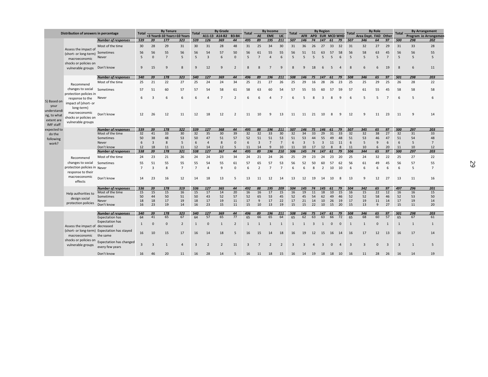|                     |                                               |                                              | <b>Total</b>   |                         | <b>By Tenure</b> |                             | <b>Total</b>   |                          | <b>By Grade</b> |                          |                  |                    | <b>By Income</b> |                 |                |                |                | <b>By Region</b>         |              |                 |                         |                      | <b>By Role</b> |                |                |              | <b>By Arrangement</b> |
|---------------------|-----------------------------------------------|----------------------------------------------|----------------|-------------------------|------------------|-----------------------------|----------------|--------------------------|-----------------|--------------------------|------------------|--------------------|------------------|-----------------|----------------|----------------|----------------|--------------------------|--------------|-----------------|-------------------------|----------------------|----------------|----------------|----------------|--------------|-----------------------|
|                     | Distribution of answers in percentage         |                                              |                |                         |                  | <3 Years3-10 Years>10 Years |                |                          | A11-13 A14-B2   | <b>B3-B4</b>             | <b>Total</b>     | AE                 | <b>EME</b>       | LIC             | <b>Total</b>   | <b>AFR</b>     |                | APD EUR MCD WHD          |              |                 | <b>Total</b>            | Area Dept. FAD Other |                |                | <b>Total</b>   |              | Program Io Arrangemer |
|                     |                                               | <b>Number of responses</b>                   | 539            | 39                      | 177              | 323                         | 539            | 126                      | 369             | 44                       | 495              | 89                 | 195              | 211             | 507            | 146            | 74             | 147                      | 61           | 79              | 507                     | 346                  | 64             | 97             | 500            | 298          | 202                   |
|                     |                                               | Most of the time                             | 30             | 28                      | 29               | 31                          | 30             | 31                       | 28              | 48                       | 31               | 25                 | 34               | 30              | 31             | 36             | 26             | 27                       | 33           | 32              | 31                      | 32                   | 27             | 29             | 31             | 33           | 28                    |
|                     | Assess the impact of<br>(short- or long-term) | Sometimes                                    | 56             | 56                      | 55               | 56                          | 56             | 54                       | 57              | 50                       | 56               | 61                 | 55               | 55              | 56             | 51             | 51             | 63                       | 57           | 58              | 56                      | 58                   | 63             | 45             | 56             | 56           | 55                    |
|                     | macroeconomic                                 | Never                                        | 5              | $\Omega$                | $\overline{7}$   | 5                           | 5              | $\overline{3}$           | 6               | $\Omega$                 | 5                | $\overline{7}$     |                  | $\overline{6}$  | 5              | 5              | $\overline{5}$ | 5                        | 5            |                 | 5                       | 5                    | 5              | $\overline{7}$ | 5              | 5            | 5                     |
|                     | shocks or policies on                         |                                              |                |                         |                  |                             |                |                          |                 |                          |                  |                    |                  |                 |                |                |                |                          |              |                 |                         |                      |                |                |                |              |                       |
|                     | vulnerable groups                             | Don't know                                   | 9              | 15                      | $\mathbf{q}$     | $\mathbf{8}$                | 9              | 12                       | 9               | $\overline{2}$           | $\mathbf{8}$     | 8                  |                  | $\mathbf{q}$    | 8              | $\mathsf{Q}$   | 18             | 6                        | 5            | $\Delta$        | $\mathbf{8}$            |                      | 6              | 19             | $\mathbf{8}$   | 6            | 11                    |
|                     |                                               | <b>Number of responses</b>                   | 540            | 39                      | 178              | 323                         | 540            | 127                      | 369             | 44                       | 496              | 89                 | 196              | 211             | 508            | 146            | 75             | 147                      | 61           | 79              | 508                     | 346                  | 65             | 97             | 501            | 298          | 203                   |
|                     | Recommend                                     | Most of the time                             | 25             | 21                      | 22               | 27                          | 25             | 24                       | 24              | 34                       | 25               | 21                 | 27               | 26              | 25             | 29             | 16             | 28                       | 26           | 23              | 25                      | 25                   | 29             | 25             | 26             | 28           | 22                    |
|                     | changes to social                             | Sometimes                                    | 57             | 51                      | 60               | 57                          | 57             | 54                       | 58              | 61                       | 58               | 63                 | 60               | 54              | 57             | 55             | 55             | 60                       | 57           | 59              | 57                      | 61                   | 55             | 45             | 58             | 58           | 58                    |
|                     | protection policies in                        |                                              |                |                         |                  |                             |                |                          |                 |                          |                  |                    |                  |                 |                |                |                |                          |              |                 |                         |                      |                |                |                |              |                       |
|                     | response to the                               | Never                                        | 6              | $\overline{\mathbf{a}}$ | 6                | $\sqrt{2}$                  | 6              | $\Lambda$                | $\overline{7}$  | $\overline{\phantom{0}}$ | 6                | 6                  |                  |                 | 6              |                |                | $\mathbf{a}$             | R            | q               | 6                       |                      | 5              | $\overline{ }$ | 6              | 5            | 6                     |
| 5) Based on         | impact of (short- or                          |                                              |                |                         |                  |                             |                |                          |                 |                          |                  |                    |                  |                 |                |                |                |                          |              |                 |                         |                      |                |                |                |              |                       |
| your<br>understandi | long-term)                                    |                                              |                |                         |                  |                             |                |                          |                 |                          |                  |                    |                  |                 |                |                |                |                          |              |                 |                         |                      |                |                |                |              |                       |
| ng, to what         | macroeconomic                                 | Don't know                                   | 12             | 26                      | 12               | 11                          | 12             | 18                       | 12              | $\overline{2}$           | 11               | 10                 | $\mathsf{q}$     | 13              | 11             | 11             | 21             | 10                       | 8            | q               | 12                      | q                    | 11             | 23             | 11             | 9            | 14                    |
| extent are          | shocks or policies on                         |                                              |                |                         |                  |                             |                |                          |                 |                          |                  |                    |                  |                 |                |                |                |                          |              |                 |                         |                      |                |                |                |              |                       |
| <b>IMF</b> staff    | vulnerable groups                             |                                              |                |                         |                  |                             |                |                          |                 |                          |                  |                    |                  |                 |                |                |                |                          |              |                 |                         |                      |                |                |                |              |                       |
| expected to         |                                               | <b>Number of responses</b>                   | 539            | 39                      | 178              | 322                         | 539            | 127                      | 368             | 44                       | 495              | 88                 | 196              | 211             | 507            | 146            | 75             | 146                      | 61           | 79              | 507                     | 345                  | 65             | 97             | 500            | 297          | 203                   |
| do the              |                                               | Most of the time                             | 32             | 41                      | 33               | 30                          | 32             | 35                       | 30              | 39                       | 32               | 32                 | 33               | 30              | 32             | 34             | 33             | 29                       | 31           | 33              | 32                      | 32                   | 38             | 27             | 32             | 31           | 33                    |
| following           |                                               | Sometimes                                    | 50             | 38                      | 48               | 53                          | 50             | 47                       | 51              | 57                       | 52               | 51                 | 51               | 53              | 51             | 53             | 44             | 55                       | 49           | 48              | 51                      | 53                   | 46             | 47             | 51             | 54           | 48                    |
| work?               |                                               | Never                                        | 6              | $\overline{\mathbf{3}}$ | 8                | 5                           | 6              | $\overline{4}$           | 8               | $\Omega$                 | 6                | $\overline{3}$     | $7\overline{ }$  | $7\overline{ }$ | 6              | $\overline{3}$ | 5              | $\overline{3}$           | 11           | 11              | 6                       | 5                    | 9              | 6              | 6              | 5            | 7                     |
|                     |                                               | Don't know                                   | 12             | 18                      | 11               | 11                          | 12             | 14                       | 12              | 5                        | 11               | 14                 | 9                | 10              | 11             | 10             | 17             | 12                       | 8            | 8               | 11                      | 10                   | 6              | 20             | 11             | 10           | 12                    |
|                     |                                               | <b>Number of responses</b>                   | 538            | 39                      | 178              | 321                         | 538            | 127                      | 367             | 44                       | 495              | 89                 | 196              | 210             | 506            | 145            | 74             | 147                      | 61           | 79              | 506                     | 344                  | 65             | 97             | 500            | 297          | 203                   |
|                     | Recommend                                     | Most of the time                             | 24             | 23                      | 21               | 26                          | 24             | 24                       | 23              | 34                       | 24               | 21                 | 24               | 26              | 25             | 29             | 23             | 24                       | 23           | 20              | 25                      | 24                   | 32             | 22             | 25             | 27           | 22                    |
|                     | changes to social                             | Sometimes                                    | 55             | 51                      | 55               | 55                          | 55             | 54                       | 55              | 61                       | 57               | 65                 | 57               | 53              | 56             | 52             | 50             | 60                       | 57           | 62              | 56                      | 61                   | 49             | 45             | 56             | 57           | 55                    |
|                     | protection policies in Never                  |                                              | $\overline{7}$ | $\overline{3}$          | $\mathbf{8}$     | $\overline{7}$              | $\overline{7}$ | $\Delta$                 | $\mathbf{q}$    | $\Omega$                 | $6 \overline{6}$ | $\overline{2}$     | $\overline{7}$   |                 | 6              | 6              | $\mathbf{R}$   | $\overline{\phantom{0}}$ | 10           | 10 <sup>1</sup> | 6                       | 6                    | 6              | 6              | 6              | 5            | $\overline{7}$        |
|                     | response to their                             |                                              |                |                         |                  |                             |                |                          |                 |                          |                  |                    |                  |                 |                |                |                |                          |              |                 |                         |                      |                |                |                |              |                       |
|                     | macroeconomic                                 | Don't know                                   | 14             | 23                      | 16               | 12                          | 14             | 18                       | 13              | 5                        | 13               | 11                 | 12               | 14              | 13             | 12             | 19             | 14                       | 10           | 8               | 13                      | 9                    | 12             | 27             | 13             | 11           | 16                    |
|                     | effects                                       |                                              |                |                         |                  |                             |                |                          |                 |                          |                  |                    |                  |                 |                |                |                |                          |              |                 |                         |                      |                |                |                |              |                       |
|                     |                                               | <b>Number of responses</b>                   | 536            | 39                      | 178              | 319                         | 536            | 127                      | 365             | 44                       | 492              | 88                 | 195              | 209             | 504            | 145            | 74             | 145                      | 61           | 79              | 504                     | 342                  | 65             | 97             | 497            | 296          | 201                   |
|                     | Help authorities to                           | Most of the time                             | 15             | 15                      | 15               | 16                          | 15             | 17                       | 14              | 20                       | 16               | 16                 | 17               | 15              | 16             | 19             | 11             | 18                       | 10           | 15              | 16                      | 15                   | 22             | 12             | 16             | 16           | 15                    |
|                     | design social                                 | Sometimes                                    | 50             | 44                      | 50               | 51                          | 50             | 43<br>17                 | 52              | 57                       | 52               | 65<br>$\mathbf{q}$ | 53               | 45              | 52<br>17       | 45             | 54             | 62<br>10                 | 49           | 46              | 52                      | 52                   | 58             | 46             | 52             | 53           | 50                    |
|                     | protection policies                           | <b>Never</b><br>Don't know                   | 18<br>16       | 18<br>23                | 17<br>19         | 19<br>14                    | 18<br>16       | 23                       | 19<br>15        | 11<br>11                 | 17<br>15         | 10                 | 17<br>13         | 22<br>19        | 15             | 21<br>15       | 14<br>22       | 10                       | 26<br>15     | 19<br>20        | 17<br>15                | 19<br>13             | 11<br>9        | 14<br>27       | 17<br>15       | 19<br>11     | 14<br>20              |
|                     |                                               |                                              |                |                         |                  |                             |                |                          |                 |                          |                  |                    |                  |                 |                |                |                |                          |              |                 |                         |                      |                |                |                |              |                       |
|                     |                                               | <b>Number of responses</b>                   | 540            | 39                      | 178              | 323                         | 540            | 127                      | 369             | 44                       | 496              | 89                 | 196              | 211             | 508            | 146            | 75             | 147                      | 61           | 79              | 508                     | 346                  | 65             | 97             | 501            | 298          | 203                   |
|                     |                                               | <b>Expectation has</b>                       | 64             | 41                      | 65               | 67                          | 64             | 57                       | 65              | 77                       | 65               | 66                 | 65               | 64              | 65             | 62             | 63             | 63                       | 66           | 72              | 65                      | 68                   | 60             | 57             | 65             | 67           | 61                    |
|                     |                                               | <b>Expectation has</b>                       | 1              | $\Omega$                | $\Omega$         | $\overline{2}$              | 1              | $\Omega$                 | $\overline{1}$  | $\overline{2}$           | $\mathbf{1}$     | $\mathbf{1}$       | $\mathbf{1}$     | 1               | $\mathbf{1}$   | $\mathbf{1}$   | 3              | 1                        | $\mathbf{0}$ | $\mathbf{0}$    | 1                       | $\mathbf{1}$         | $\mathbf{0}$   | 1              | $\mathbf{1}$   | $\mathbf{1}$ | $\mathbf{1}$          |
|                     | Assess the impact of decreased                | (short- or long-term) Expectation has stayed |                |                         |                  |                             |                |                          |                 |                          |                  |                    |                  |                 |                |                |                |                          |              |                 |                         |                      |                |                |                |              |                       |
|                     | macroeconomic the same                        |                                              | 16             | 10                      | 15               | 17                          | 16             | 14                       | 18              | 5                        | 16               | 15                 | 14               | 18              | 16             | 19             | 12             | 15                       | 16           | 14              | 16                      | 17                   | 12             | 13             | 16             | 17           | 14                    |
|                     | shocks or policies on                         |                                              |                |                         |                  |                             |                |                          |                 |                          |                  |                    |                  |                 |                |                |                |                          |              |                 |                         |                      |                |                |                |              |                       |
|                     | vulnerable groups                             | <b>Expectation has changed</b>               | $\overline{3}$ | $\overline{3}$          |                  |                             | $\overline{3}$ | $\overline{\phantom{a}}$ | $\overline{2}$  | 11                       | $\overline{3}$   | $\overline{7}$     | $\overline{2}$   | $\overline{2}$  | $\overline{3}$ | $\overline{z}$ |                | $\overline{3}$           | $\mathbf{0}$ | -4              | $\overline{\mathbf{3}}$ |                      | $\Omega$       | $\overline{3}$ | $\overline{3}$ | $\mathbf{1}$ | 5                     |
|                     |                                               | every few years                              |                |                         |                  |                             |                |                          |                 |                          |                  |                    |                  |                 |                |                |                |                          |              |                 |                         |                      |                |                |                |              |                       |
|                     |                                               | Don't know                                   | 16             | 46                      | 20               | 11                          | 16             | 28                       | 14              | 5                        | 16               | 11                 | 18               | 15              | 16             | 14             | 19             | 18                       | 18           | 10              | 16                      | 11                   | 28             | 26             | 16             | 14           | 19                    |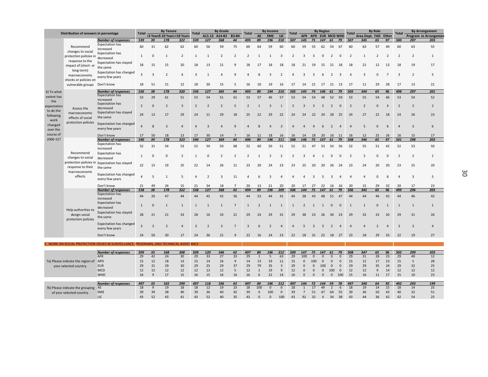|                       | Distribution of answers in percentage               |                                                                                        | <b>Total</b>   |                    | <b>By Tenure</b>                   |                | <b>Total</b>   |                | <b>By Grade</b>      |                      | <b>Total</b>   |                   | <b>By Income</b> |                    | <b>Total</b>             |                      |                      | <b>By Region</b>     |                     |                     | Total          |                      | <b>By Role</b> |                | <b>Total</b>   |                        | <b>By Arrangement</b> |
|-----------------------|-----------------------------------------------------|----------------------------------------------------------------------------------------|----------------|--------------------|------------------------------------|----------------|----------------|----------------|----------------------|----------------------|----------------|-------------------|------------------|--------------------|--------------------------|----------------------|----------------------|----------------------|---------------------|---------------------|----------------|----------------------|----------------|----------------|----------------|------------------------|-----------------------|
|                       |                                                     |                                                                                        |                | 39                 | <3 Years3-10 Years>10 Years<br>178 | 322            |                | 127            | A11-13 A14-B2<br>368 | <b>B3-B4</b><br>44   |                | <b>AE</b>         | <b>EME</b>       | LIC                |                          | <b>AFR</b><br>145    | 75                   |                      | APD EUR MCD WHD     | 79                  | 507            | Area Dept. FAD Other |                | 97             |                |                        | Program Io Arrangemen |
|                       |                                                     | <b>Number of responses</b><br><b>Expectation has</b>                                   | 539            |                    |                                    |                | 539            |                |                      |                      | 495            | 89                | 196              | 210                | 507                      |                      |                      | 147 61               |                     |                     |                | 345                  | 65             |                | 500            | 297                    | 203                   |
|                       | Recommend                                           | increased                                                                              | 60             | 31                 | 62                                 | 62             | 60             | 56             | 59                   | 75                   | 60             | 64                | 59               | 60                 | 60                       | 59                   | 55                   | 62                   | 54                  | 67                  | 60             | 63                   | 57             | 49             | 60             | 63                     | 55                    |
|                       | changes to social                                   | <b>Expectation has</b>                                                                 | 1              | $\Omega$           | $\mathbf{1}$                       | $\overline{2}$ | $\mathbf{1}$   | $\mathbf{1}$   | 2                    | $\overline{2}$       | 2              | 1                 | $\overline{1}$   | 3                  | $\overline{2}$           | 3                    | 3                    | 0                    | 2                   | $\overline{0}$      | $\overline{2}$ | $\mathbf{1}$         | 2              | $\overline{2}$ | $\overline{2}$ | $\overline{2}$         | 1                     |
|                       | protection policies in decreased<br>response to the |                                                                                        |                |                    |                                    |                |                |                |                      |                      |                |                   |                  |                    |                          |                      |                      |                      |                     |                     |                |                      |                |                |                |                        |                       |
|                       | impact of (short- or                                | <b>Expectation has stayed</b><br>the same                                              | 18             | 15                 | 15                                 | 20             | 18             | 13             | 21                   | $\mathbf{q}$         | 18             | 17                | 18               | 18                 | 18                       | 21                   | 19                   | 15                   | 21                  | 18                  | 18             | 21                   | 12             | 13             | 18             | 19                     | 17                    |
|                       | long-term)                                          | <b>Expectation has changed</b>                                                         |                |                    |                                    |                |                |                |                      |                      |                |                   |                  |                    |                          |                      |                      |                      |                     |                     |                |                      |                |                |                |                        |                       |
|                       | macroeconomic                                       | every few years                                                                        | $\overline{3}$ | $\mathbf{a}$       | $\overline{2}$                     | $\Delta$       | 3              | $\mathbf{1}$   | $\Delta$             | 9                    | $\Lambda$      | 8                 | $\overline{3}$   | $\overline{2}$     |                          | 3                    | $\mathbf{3}$         | 6                    | 2                   | 3                   | $\Delta$       | $\mathbf{3}$         | $\Omega$       | $\overline{7}$ | $\overline{3}$ | 2                      | 5                     |
|                       | shocks or policies on                               |                                                                                        |                |                    |                                    |                |                |                |                      |                      |                |                   |                  |                    |                          |                      |                      |                      |                     |                     |                |                      |                |                |                |                        |                       |
|                       | vulnerable groups                                   | Don't know                                                                             | 18             | 51                 | 21                                 | 12             | 18             | 30             | 15                   | 5                    | 16             | 10                | 19               | 16                 | 17                       | 14                   | 21                   | 17                   | 21                  | 13                  | 17             | 11                   | 29             | 28             | 17             | 13                     | 21                    |
| 6) To what            |                                                     | <b>Number of responses</b><br><b>Expectation has</b>                                   | 536            | 38                 | 178                                | 320            | 536            | 127            | 365                  | 44                   | 493            | 89                | 194              | 210                | 505                      | 145                  | 74                   | 146 61               |                     | 79                  | 505            | 344                  | 65             | 96             | 498            | 297                    | 201                   |
| extent has            |                                                     | increased                                                                              | 53             | 29                 | 61                                 | 51             | 53             | 54             | 51                   | 61                   | 53             | 57                | 46               | 57                 | 53                       | 54                   | 54                   | 48                   | 52                  | 59                  | 53             | 55                   | 54             | 46             | 53             | 54                     | 52                    |
| the<br>expectation    |                                                     | <b>Expectation has</b>                                                                 | $\overline{2}$ | $\Omega$           | $\overline{2}$                     | $\overline{3}$ | $\overline{2}$ | $\overline{2}$ | $\overline{2}$       | 5                    | $\overline{2}$ | $\mathbf{1}$      | $\mathbf{3}$     | $\mathbf{1}$       | $\overline{2}$           | $\mathbf{3}$         | 3                    | $\overline{2}$       | 2                   | $\Omega$            | $\overline{2}$ | $\overline{2}$       | $\Omega$       |                | $\overline{2}$ | $\overline{2}$         | $\overline{2}$        |
| to do the             | Assess the                                          | decreased                                                                              |                |                    |                                    |                |                |                |                      |                      |                |                   |                  |                    |                          |                      |                      |                      |                     |                     |                |                      |                |                |                |                        |                       |
| following             | macroeconomic<br>effects of social                  | <b>Expectation has stayed</b><br>the same                                              | 24             | 13                 | 17                                 | 29             | 24             | 11             | 29                   | 18                   | 25             | 22                | 29               | 22                 | 24                       | 24                   | 22                   | 24                   | 28                  | 25                  | 24             | 27                   | 22             | 18             | 24             | 26                     | 23                    |
| work                  | protection policies                                 |                                                                                        |                |                    |                                    |                |                |                |                      |                      |                |                   |                  |                    |                          |                      |                      |                      |                     |                     |                |                      |                |                |                |                        |                       |
| changed               |                                                     | Expectation has changed<br>every few years                                             | $\Delta$       |                    | $\overline{z}$                     | $\Delta$       | $\Delta$       | $\overline{3}$ | $\Delta$             | $\mathbf{q}$         | $\Delta$       | $\mathbf{8}$      | $\mathbf{A}$     | $\overline{3}$     | $\mathbf{A}$             |                      | $\Delta$             | 6                    | 2                   | $\mathbf{A}$        | $\Delta$       | 5                    | $\Omega$       | 6              | $\Delta$       | $\overline{3}$         | 6                     |
| over the<br>course of |                                                     |                                                                                        |                |                    |                                    |                |                |                |                      |                      |                |                   |                  |                    |                          |                      |                      |                      |                     |                     |                |                      |                |                |                |                        |                       |
| 2006-15?              |                                                     | Don't know<br><b>Number of responses</b>                                               | 17<br>540      | 50<br>39           | 18<br>178                          | 13<br>323      | 17<br>540      | 30<br>127      | 14<br>369            | $\overline{7}$<br>44 | 16<br>496      | 11<br>89          | 18<br>196        | 16<br>211          | 16<br>508                | 14<br>146            | 18<br>75             | 20<br>147            | 16<br>61            | 11<br>79            | 16<br>508      | 12<br>346            | 25<br>65       | 26<br>97       | 16<br>501      | 15<br>298              | 17<br>203             |
|                       |                                                     | <b>Expectation has</b>                                                                 |                |                    |                                    |                |                |                |                      |                      |                |                   |                  |                    |                          |                      |                      |                      |                     |                     |                |                      |                |                |                |                        |                       |
|                       |                                                     | increased                                                                              | 52             | 31                 | 54                                 | 53             | 52             | 50             | 50                   | 68                   | 52             | 60                | 50               | 51                 | 52                       | 51                   | 47                   | - 53                 | 54                  | - 56                | -52            | 55                   | 51             | 42             | 52             | 53                     | 50                    |
|                       | Recommend                                           | <b>Expectation has</b>                                                                 | $\mathbf{1}$   | $\Omega$           | $\Omega$                           | $\overline{2}$ | $\mathbf{1}$   | $\Omega$       | $\overline{2}$       | $\overline{2}$       | $\overline{2}$ | $\mathbf{1}$      | $\overline{2}$   | $\overline{2}$     | $\overline{\phantom{a}}$ | $\overline{3}$       | $\overline{4}$       | 1                    | $\mathbf{0}$        | $\overline{0}$      | $\overline{2}$ | $\overline{2}$       | $\Omega$       | $\Omega$       | $\overline{2}$ | $\overline{2}$         | $\mathbf{1}$          |
|                       | changes to social                                   | decreased<br>protection policies in Expectation has stayed                             |                |                    |                                    |                |                |                |                      |                      |                |                   |                  |                    |                          |                      |                      |                      |                     |                     |                |                      |                |                |                |                        |                       |
|                       | response to their                                   | the same                                                                               | 22             | 15                 | 19                                 | 25             | 22             | 14             | 26                   | 11                   | 23             | 20                | 24               | 23                 | 23                       | 25                   | 20                   | 20                   | 26                  | 24                  | 23             | 24                   | 20             | 20             | 23             | 25                     | 20                    |
|                       | macroeconomic                                       |                                                                                        |                |                    |                                    |                |                |                |                      |                      |                |                   |                  |                    |                          |                      |                      |                      |                     |                     |                |                      |                |                |                |                        |                       |
|                       | effects                                             | Expectation has changed<br>every few years                                             | $\Delta$       | 5                  | $\mathbf{1}$                       | 5              | $\overline{4}$ | $\overline{2}$ | 3                    | 11                   | 4              | 6                 | $\overline{3}$   | $\overline{4}$     | $\Delta$                 | 4                    | $\overline{3}$       | 5                    | 3                   | $\overline{4}$      | $\overline{4}$ | $\overline{4}$       | $\Omega$       | 6              | $\overline{4}$ | $\overline{3}$         | 5                     |
|                       |                                                     |                                                                                        |                |                    |                                    |                |                |                |                      |                      |                |                   |                  |                    |                          |                      |                      |                      |                     |                     |                |                      |                |                |                |                        |                       |
|                       |                                                     | Don't know<br><b>Number of responses</b>                                               | 21<br>538      | 49<br>38           | 26<br>178                          | 15<br>322      | 21<br>538      | 34<br>127      | 18<br>368            | $\overline{7}$<br>43 | 20<br>494      | 13<br>89          | 21<br>196        | 20<br>209          | 20<br>506                | 17<br>144            | 27<br>75             | 22<br>147            | 16<br>61            | 16<br>79            | -20<br>506     | 15<br>345            | 29<br>65       | 32<br>96       | 20<br>499      | 17<br>296              | 23<br>203             |
|                       |                                                     | <b>Expectation has</b>                                                                 | 44             | 26                 | 47                                 | 44             | 44             | 45             | 42                   | 56                   | 44             | 53                | 44               | 41                 | 44                       | 38                   | 43                   | 48                   | 51                  | 47                  | 44             | 44                   | 46             | 42             | 44             | 46                     | 42                    |
|                       |                                                     | increased                                                                              |                |                    |                                    |                |                |                |                      |                      |                |                   |                  |                    |                          |                      |                      |                      |                     |                     |                |                      |                |                |                |                        |                       |
|                       |                                                     | <b>Expectation has</b>                                                                 | 1              | $\Omega$           | $\mathbf{1}$                       | $\overline{1}$ | 1              | $\mathbf{1}$   | $\mathbf{1}$         | $\overline{7}$       | $\mathbf{1}$   | 2                 | $\overline{1}$   | $\overline{1}$     | $\mathbf{1}$             | $\overline{2}$       | $\overline{1}$       | $\mathbf{1}$         | $\mathbf{0}$        | $\Omega$            | $\mathbf{1}$   | $\mathbf{1}$         | $\Omega$       | $\overline{1}$ | 1              | $\overline{1}$         | 1                     |
|                       | Help authorities to                                 | decreased<br><b>Expectation has stayed</b>                                             |                |                    |                                    |                |                |                |                      |                      |                |                   |                  |                    |                          |                      |                      |                      |                     |                     |                |                      |                |                |                |                        |                       |
|                       | design social                                       | the same                                                                               | 28             | 21                 | 21                                 | 33             | 28             | 16             | 33                   | 21                   | 29             | 24                | 29               | 31                 | 29                       | 38                   | 23                   | 26                   | 30                  | 23                  | 29             | 32                   | 23             | 20             | 29             | 31                     | 26                    |
|                       | protection policies                                 | <b>Expectation has changed</b>                                                         |                |                    |                                    |                |                |                |                      |                      |                |                   |                  |                    |                          |                      |                      |                      |                     |                     |                |                      |                |                |                |                        |                       |
|                       |                                                     | every few years                                                                        | $\overline{3}$ | $\overline{3}$     | $\overline{\phantom{0}}$           | $\Delta$       | 3              | $\overline{2}$ | $\overline{3}$       | $\overline{7}$       | $\overline{3}$ | 6                 | $\overline{2}$   |                    | $\Delta$                 | -5                   | $\overline{3}$       | 3                    | 2                   | $\mathbf{A}$        | $\Delta$       | $\Delta$             | $\overline{2}$ | $\Delta$       | 3              | $\overline{3}$         | $\overline{4}$        |
|                       |                                                     | Don't know                                                                             | 24             | 50                 | 30                                 | 17             | 24             | 36             | 21                   | $\mathbf{q}$         | 22             | 16                | 24               | 23                 | 22                       | 18                   | 31                   | 22 18                |                     | 27                  | 23             | 18                   | 29             | 33             | 22             | 19                     | 27                    |
|                       |                                                     |                                                                                        |                |                    |                                    |                |                |                |                      |                      |                |                   |                  |                    |                          |                      |                      |                      |                     |                     |                |                      |                |                |                |                        |                       |
|                       |                                                     | . WORK ON SOCIAL PROTECTION ISSUES IN SURVEILLANCE, PROGRAMS, AND TECHNICAL ASSISTANCE |                |                    |                                    |                |                |                |                      |                      |                |                   |                  |                    |                          |                      |                      |                      |                     |                     |                |                      |                |                |                |                        |                       |
|                       |                                                     | <b>Number of responses</b>                                                             | 509            | 33                 | 168                                | 308            | 509            | 120            | 346                  | 43                   | 497            | 89                | 196              | 212                | 509                      | 147                  | 75                   | 147                  | 61                  | 79                  | 508            | 347                  | 65             | 96             | 502            | 299                    | 203                   |
|                       |                                                     | AFR                                                                                    | 29             | 42                 | 24                                 | 30             | 29             | 33             | 27                   | 33                   | 29             | $\overline{1}$    | 5                | 63                 | 29                       | 100                  | $\Omega$             | $\Omega$             | $\mathbf{0}$        | $\mathbf 0$         | 29             | 31                   | 28             | 23             | 29             | 40                     | 12                    |
|                       | 7a) Please indicate the region of APD               |                                                                                        | 15             | 12                 | 18                                 | 13             | 15             | 14             | 16                   | 9                    | 14             | 13                | 19               | 11                 | 15                       | $\Omega$             | 100                  | $\Omega$             | $\mathbf{0}$        | $\Omega$            | 15             | 12                   | 17             | 23             | 15             | 5                      | 28                    |
|                       | your selected country                               | <b>EUR</b>                                                                             | 29             | 21                 | 29                                 | 30             | 29             | 25             | 29                   | 37                   | 29             | 79                | 35               | $\overline{3}$     | 29                       | $\Omega$             | $\Omega$             | 100                  | $\mathbf{0}$        | $\overline{0}$      | 29             | 29                   | 35             | 24             | 29             | 32                     | 25                    |
|                       |                                                     | <b>MCD</b><br>WHD                                                                      | 12<br>16       | 15<br>$\mathbf{q}$ | 12<br>17                           | 12<br>15       | 12<br>16       | 13<br>15       | 12<br>16             | 5<br>16              | 12<br>16       | $\mathbf{1}$<br>6 | 19<br>22         | $\mathbf{q}$<br>14 | 12<br>16                 | $\Omega$<br>$\Omega$ | $\Omega$<br>$\Omega$ | $\Omega$<br>$\Omega$ | 100<br>$\mathbf{0}$ | $\mathbf{0}$<br>100 | 12<br>15       | 12<br>16             | 9<br>11        | 14<br>17       | 12<br>15       | 12<br>10 <sup>10</sup> | 12<br>23              |
|                       |                                                     |                                                                                        |                |                    |                                    |                |                |                |                      |                      |                |                   |                  |                    |                          |                      |                      |                      |                     |                     |                |                      |                |                |                |                        |                       |

|                                     | <b>Number of responses</b> | 497 | 33 | 165 | 299 | 497 | 118 | 336 | 43 | 497 | 89       | 196        | 212      | 497  | 144 |    | 72 144 59 |      |      | 78 497 | 340 | 64 | 93 | 492 | 293 | 199 |
|-------------------------------------|----------------------------|-----|----|-----|-----|-----|-----|-----|----|-----|----------|------------|----------|------|-----|----|-----------|------|------|--------|-----|----|----|-----|-----|-----|
| 7b) Please indicate the grouping AE |                            |     |    |     | 18  | 18  |     |     | 23 | 18  | 100      | $^{\circ}$ | $\Omega$ | - 18 |     | 17 | 49        |      |      | 18     | 19  | 14 |    | 18  |     |     |
| of your selected country.           | EME                        |     |    |     | 40  | 39  |     | 40  | 42 | 39  | $\Omega$ | 100        | $\Omega$ | 39   |     | 51 | 47        | - 64 |      | 55 39  | 36  | 50 | 43 | 40  |     |     |
|                                     |                            |     |    |     |     | 43  |     | 40  | 35 | 43  |          |            | 100      | -43  | 92  | 32 |           | 34   | - 38 | 43     | 44  | 36 | 42 | 42  |     |     |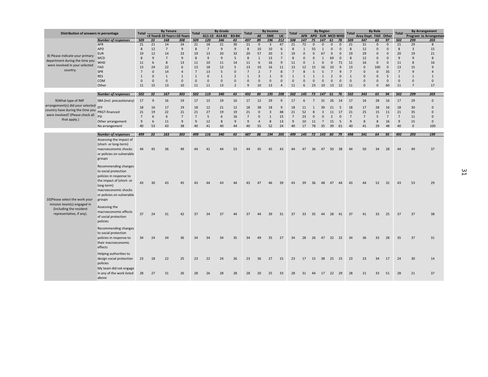| Distribution of answers in percentage |                            | <b>Total</b>   |              | <b>By Tenure</b>            |                    | <b>Total</b>   |                      | <b>By Grade</b>     |                | Total           |                    | By Income            |                         | <b>Total</b>       |                      |                 | <b>By Region</b> |                |                      | <b>Total</b>   |                      | <b>By Role</b> |                          | <b>Total</b>   |                      | <b>By Arrangement</b> |
|---------------------------------------|----------------------------|----------------|--------------|-----------------------------|--------------------|----------------|----------------------|---------------------|----------------|-----------------|--------------------|----------------------|-------------------------|--------------------|----------------------|-----------------|------------------|----------------|----------------------|----------------|----------------------|----------------|--------------------------|----------------|----------------------|-----------------------|
|                                       |                            |                |              | <3 Years3-10 Years>10 Years |                    |                |                      | A11-13 A14-B2 B3-B4 |                |                 | AE                 | <b>EME</b>           | LIC                     |                    | <b>AFR</b>           | APD EUR MCD WHD |                  |                |                      |                | Area Dept. FAD Other |                |                          |                |                      | Program Io Arrangemer |
|                                       | <b>Number of responses</b> | 509            | 33           | 168                         | 308                | 509            | 120                  | 346                 | 43             | 497             | 89                 | 196                  | 212                     | 508                | 147                  | 75              | 147<br>$\Omega$  | 61<br>$\Omega$ | 78                   | 509            | 347                  | 65<br>$\Omega$ | 97                       | 502            | 299                  | 203                   |
|                                       | <b>AFR</b><br>APD          | 21<br>8        | 21<br>12     | 14<br>$\overline{7}$        | 24<br>$\mathbf{q}$ | 21<br>8        | 18<br>$\overline{7}$ | 21<br>9             | 30<br>9        | 21<br>8         | $\mathbf{0}$<br>10 | $\overline{3}$<br>10 | 47<br>6                 | 21<br>$\mathbf{8}$ | 72<br>$\overline{1}$ | $\Omega$<br>55  | $\mathbf{1}$     | $\Omega$       | $\Omega$<br>$\Omega$ | 21<br>8        | 31<br>12             | $\Omega$       | $\mathbf{0}$<br>$\Omega$ | 21<br>8        | 29<br>$\overline{3}$ | 8<br>15               |
|                                       | <b>EUR</b>                 | 19             | 12           | 14                          | 23                 | 19             | 13                   | 20                  | 33             | 20              | 57                 | 20                   | $\overline{\mathbf{3}}$ | 19                 | $\Omega$             | $\Omega$        | 67               | $\Omega$       | $\Omega$             | 19             | 29                   | $\mathbf{0}$   | $\Omega$                 | 20             | 19                   | 21                    |
| 8) Please indicate your primary       | <b>MCD</b>                 | $\mathbf{8}$   | 9            | $\overline{7}$              | $\mathbf{q}$       | 8              | $\overline{9}$       | $\overline{9}$      | 5              | 8               | $\overline{1}$     | 13                   | $\overline{7}$          | $\mathbf{8}$       | $\Omega$             | $\Omega$        | $\mathbf{1}$     | 69             | $\Omega$             | $\mathbf{8}$   | 12                   | $\mathbf{0}$   | $\Omega$                 | $\overline{9}$ | $\mathbf{q}$         | 8                     |
| department during the time you        | WHD                        | 11             | 6            | 8                           | 13                 | 11             | 10                   | 11                  | 14             | 11              | 6                  | 16                   | 9                       | 11                 | $\Omega$             | $\mathbf{1}$    |                  | $\Omega$       | 71                   | 11             | 16                   | $\mathbf{0}$   | $\mathbf 0$              | 11             | 8                    | 16                    |
| were involved in your selected        | FAD                        | 13             | 24           | 22                          | 6                  | 13             | 18                   | 12                  | 5              | 13              | 10                 | 16                   | 11                      | 13                 | 12                   | 15              | 16               | 10             | 9                    | 13             | $\mathbf 0$          | 100            | $\overline{0}$           | 13             | 15                   | $\mathbf{q}$          |
| country.                              | SPR                        | $\overline{7}$ | $\mathbf 0$  | 14                          | 4                  | $\overline{7}$ | 13                   | 5                   | $\Omega$       | $\overline{7}$  | $\overline{2}$     | $\overline{7}$       | 8                       | $\overline{7}$     | $\mathbf{8}$         | 5               | 5                | 7              | 9                    | $\overline{7}$ | $\Omega$             | $\mathbf 0$    | 35                       | 7              | 9                    | $\overline{4}$        |
|                                       | <b>RES</b>                 | 1              | $\mathbf{0}$ | $\mathbf{1}$                | $\mathbf{1}$       | $1\,$          | $\Omega$             | $\mathbf{1}$        | $\overline{2}$ | $\mathbf{1}$    | $\overline{3}$     | $\mathbf{1}$         | $\Omega$                | $\mathbf{1}$       | $\overline{1}$       | $\mathbf{1}$    | $\mathbf{1}$     | $\overline{2}$ | $\mathbf{0}$         | $\mathbf{1}$   | $\mathbf{0}$         | $\mathbf 0$    | 5                        | $\mathbf{1}$   | $\mathbf{1}$         | $\mathbf{1}$          |
|                                       | <b>COM</b>                 | $\Omega$       | $\mathbf 0$  | $\mathsf 0$                 | $\mathbf{0}$       | $\mathbf 0$    | $\mathbf{0}$         | $\mathsf 0$         | $\mathbf{0}$   | $\mathbf 0$     | $\Omega$           | $\mathbf{0}$         | 0                       | $\Omega$           | $\Omega$             | $\Omega$        | $\Omega$         | $\mathbf 0$    | $\mathbf 0$          | $\mathbf 0$    | $\Omega$             | $\mathbf 0$    | $\overline{0}$           | $\mathbf 0$    | $\mathbf{0}$         | $\mathbf 0$           |
|                                       | Other                      | 11             | 15           | 13                          | 10                 | 11             | 11                   | 13                  | $\overline{2}$ | 9               | 10                 | 13                   | $\overline{4}$          | 11                 | 6                    | 23              | 10               | 13             | 12                   | 11             | $\Omega$             | $\mathsf 0$    | 60                       | 11             | $\overline{7}$       | 17                    |
|                                       |                            |                |              |                             |                    |                |                      |                     |                |                 |                    |                      |                         |                    |                      |                 |                  |                |                      |                |                      |                |                          |                |                      |                       |
|                                       | <b>Number of responses</b> | 502            | 32           | 167                         | 303                | 502            | 119                  | 340                 | 43             | 492             | 89                 | 195                  | 208                     | 502                | 145                  | 73              | 147              | 61             | 76                   | 502            | 343                  | 65             | 94                       | 502            | 299                  | 203                   |
| 9) What type of IMF                   | SBA (incl. precautionary)  | 17             | 9            | 16                          | 19                 | 17             | 13                   | 19                  | 16             | 17              | 12                 | 29                   | 9                       | 17                 | 6                    | $\overline{7}$  | 31               | 26             | 14                   | 17             | 16                   | 28             | 16                       | 17             | 29                   | $\mathbf 0$           |
| arrangement(s) did your selected EFF  |                            | 18             | 16           | 17                          | 19                 | 18             | 12                   | 21                  | 12             | 18              | 38                 | 18                   | 9                       | 18                 | 11                   | $\overline{1}$  | 39               | 21             | 5                    | 18             | 17                   | 28             | 16                       | 18             | 30                   | $\mathbf{0}$          |
| country have during the time you      | PRGT-financed              | 21             | 19           | 22                          | 21                 | 21             | 27                   | 19                  | 19             | 21              | $\mathbf{0}$       | $\overline{3}$       | 48                      | 21                 | 52                   | 8               | $\overline{3}$   | 11             | 17                   | 21             | 25                   | 15             | 11                       | 21             | 35                   | $\Omega$              |
| were involved? (Please check all      | PSI                        | $\overline{7}$ | 6            | 6                           | $\overline{7}$     | $\overline{7}$ | 5                    | 6                   | 16             | $7\overline{ }$ | $\mathbf{0}$       | $\mathbf{1}$         | 15                      | 7                  | 23                   | $\mathbf{0}$    | $\mathbf{0}$     | $\overline{2}$ | $\mathbf 0$          | $\overline{7}$ | $\overline{7}$       | 5              | $7\overline{ }$          | 7              | 11                   | $\Omega$              |
| that apply.)                          | Other arrangement          | 9              | 6            | 11                          | $\overline{9}$     | 9              | 12                   | 8                   | 9              | 9               | $\overline{4}$     | 8                    | 13                      | $\mathbf{q}$       | 10                   | 11              | $7\overline{ }$  | 15             | 5                    | 9              | $\mathbf{8}$         | 8              | 16                       | 9              | 15                   | $\mathbf{0}$          |
|                                       | No arrangement             | 40             | 53           | 43                          | 38                 | 40             | 41                   | 40                  | 44             | 40              | 55                 | 52                   | 24                      | 40                 | 17                   | 78              | 35               | 39             | 61                   | 40             | 41                   | 29             | 48                       | 40             | $\Omega$             | 100                   |
|                                       | <b>Number of responses</b> | 499            | 33           | 163                         | 303                | 499            | 116                  | 340                 | 43             | 487             | 88                 | 194                  | 205                     | 499                | 145                  | 72              | 143 60           |                | 79                   | 498            | 341                  | 64             | 93                       | 492            | 293                  | 199                   |
|                                       |                            |                |              |                             |                    |                |                      |                     |                |                 |                    |                      |                         |                    |                      |                 |                  |                |                      |                |                      |                |                          |                |                      |                       |
|                                       | Assessing the impact of    |                |              |                             |                    |                |                      |                     |                |                 |                    |                      |                         |                    |                      |                 |                  |                |                      |                |                      |                |                          |                |                      |                       |
|                                       | (short- or long-term)      | 44             |              | 36                          | 49                 | $\Lambda$      | 41                   | 44                  | 53             | 44              | 45                 | 45                   | 43                      | 44                 | 47                   | 36              | 47               | 50             | 38                   | 44             | 50                   | 34             | 28                       | 44             | 49                   | 37                    |
|                                       | macroeconomic shocks       |                | 45           |                             |                    |                |                      |                     |                |                 |                    |                      |                         |                    |                      |                 |                  |                |                      |                |                      |                |                          |                |                      |                       |
|                                       | or policies on vulnerable  |                |              |                             |                    |                |                      |                     |                |                 |                    |                      |                         |                    |                      |                 |                  |                |                      |                |                      |                |                          |                |                      |                       |
|                                       | groups                     |                |              |                             |                    |                |                      |                     |                |                 |                    |                      |                         |                    |                      |                 |                  |                |                      |                |                      |                |                          |                |                      |                       |
|                                       | Recommending changes       |                |              |                             |                    |                |                      |                     |                |                 |                    |                      |                         |                    |                      |                 |                  |                |                      |                |                      |                |                          |                |                      |                       |
|                                       | to social protection       |                |              |                             |                    |                |                      |                     |                |                 |                    |                      |                         |                    |                      |                 |                  |                |                      |                |                      |                |                          |                |                      |                       |
|                                       | policies in response to    |                |              |                             |                    |                |                      |                     |                |                 |                    |                      |                         |                    |                      |                 |                  |                |                      |                |                      |                |                          |                |                      |                       |
|                                       | the impact of (short- or   |                |              |                             |                    |                |                      |                     |                |                 | $\Lambda$          |                      |                         |                    |                      |                 |                  |                |                      |                | ΛΛ                   |                |                          |                |                      |                       |
|                                       | long-term)                 | 43             | 30           | 43                          | 45                 | 43             |                      | 43                  | $\Delta\Delta$ | 43              |                    | 46                   | 39                      | 43                 | 39                   | 36              | 48               | 47             | 44                   | 43             |                      | 52             | 32                       | 43             | 53                   | 29                    |
|                                       | macroeconomic shocks       |                |              |                             |                    |                |                      |                     |                |                 |                    |                      |                         |                    |                      |                 |                  |                |                      |                |                      |                |                          |                |                      |                       |
|                                       | or policies on vulnerable  |                |              |                             |                    |                |                      |                     |                |                 |                    |                      |                         |                    |                      |                 |                  |                |                      |                |                      |                |                          |                |                      |                       |
| 10) Please select the work your       | groups                     |                |              |                             |                    |                |                      |                     |                |                 |                    |                      |                         |                    |                      |                 |                  |                |                      |                |                      |                |                          |                |                      |                       |
| mission team(s) engaged in            |                            |                |              |                             |                    |                |                      |                     |                |                 |                    |                      |                         |                    |                      |                 |                  |                |                      |                |                      |                |                          |                |                      |                       |
| (including the resident               | Assessing the              |                |              |                             |                    |                |                      |                     |                |                 |                    |                      |                         |                    |                      |                 |                  |                |                      |                |                      |                |                          |                |                      |                       |
| representative, if any).              | macroeconomic effects      | 37             | 24           | 31                          | 42                 | 37             | 34                   | 37                  | 44             | 37              | $\Lambda$          | 39                   | 31                      | 37                 | 33                   | 35              | 44               | 28             | 41                   | 37             | 41                   | 33             | 25                       | 37             | 37                   | 38                    |
|                                       | of social protection       |                |              |                             |                    |                |                      |                     |                |                 |                    |                      |                         |                    |                      |                 |                  |                |                      |                |                      |                |                          |                |                      |                       |
|                                       | policies                   |                |              |                             |                    |                |                      |                     |                |                 |                    |                      |                         |                    |                      |                 |                  |                |                      |                |                      |                |                          |                |                      |                       |
|                                       | Recommending changes       |                |              |                             |                    |                |                      |                     |                |                 |                    |                      |                         |                    |                      |                 |                  |                |                      |                |                      |                |                          |                |                      |                       |
|                                       | to social protection       |                |              |                             |                    |                |                      |                     |                |                 |                    |                      |                         |                    |                      |                 |                  |                |                      |                |                      |                |                          |                |                      |                       |
|                                       | policies in response to    | 34             | 24           | 34                          | 36                 | 34             | 34                   | 34                  | 35             | 34              | 49                 | 35                   | 27                      | 34                 | 28                   | 26              | 47               | 32 32          |                      | 34             | 36                   | 33             | 28                       | 35             | 37                   | 31                    |
|                                       | their macroeconomic        |                |              |                             |                    |                |                      |                     |                |                 |                    |                      |                         |                    |                      |                 |                  |                |                      |                |                      |                |                          |                |                      |                       |
|                                       | effects                    |                |              |                             |                    |                |                      |                     |                |                 |                    |                      |                         |                    |                      |                 |                  |                |                      |                |                      |                |                          |                |                      |                       |
|                                       | Helping authorities to     |                |              |                             |                    |                |                      |                     |                |                 |                    |                      |                         |                    |                      |                 |                  |                |                      |                |                      |                |                          |                |                      |                       |
|                                       | design social protection   | 23             | 18           | 22                          | 25                 | 23             | 22                   | 24                  | 26             | 23              | 36                 | 27                   | 15                      | 23                 | 17                   | 15              | 38               | 25 15          |                      | 23             | 23                   | 34             | 17                       | 24             | 30                   | 14                    |
|                                       | policies                   |                |              |                             |                    |                |                      |                     |                |                 |                    |                      |                         |                    |                      |                 |                  |                |                      |                |                      |                |                          |                |                      |                       |
|                                       | My team did not engage     |                |              |                             |                    |                |                      |                     |                |                 |                    |                      |                         |                    |                      |                 |                  |                |                      |                |                      |                |                          |                |                      |                       |
|                                       |                            |                |              |                             |                    |                |                      |                     |                |                 |                    |                      |                         |                    |                      |                 |                  |                |                      |                |                      |                |                          |                |                      |                       |
|                                       | in any of the work listed  | 28             | 27           | 31                          | 26                 | 28             | 26                   | 28                  | 28             | 28              | 20                 | 25                   | 33                      | 28                 | 31                   | 44              | 17               | 22 29          |                      | 28             | 21                   | 33             | 51                       | 28             | 21                   | 37                    |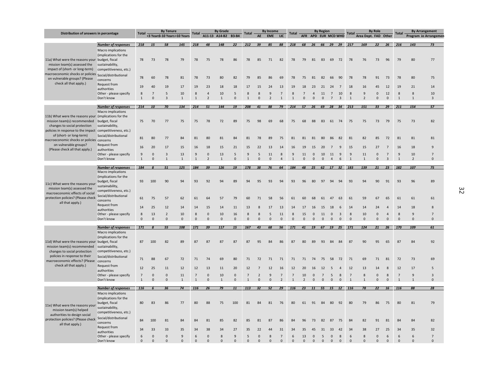| Distribution of answers in percentage                                                                                                                                                            |                                                                                                            | <b>Total</b>                   |                                | <b>By Tenure</b>                        |                    | <b>Total</b>                   |                                  | <b>By Grade</b>      |                          | <b>Total</b>                     |                                | <b>By Income</b>               |                                  | <b>Total</b>                   |                               |                               | <b>By Region</b>              |                                     |                          | <b>Total</b>            |                          | <b>By Role</b>               |                                           | <b>Total</b>                     |                              | <b>By Arrangement</b>         |
|--------------------------------------------------------------------------------------------------------------------------------------------------------------------------------------------------|------------------------------------------------------------------------------------------------------------|--------------------------------|--------------------------------|-----------------------------------------|--------------------|--------------------------------|----------------------------------|----------------------|--------------------------|----------------------------------|--------------------------------|--------------------------------|----------------------------------|--------------------------------|-------------------------------|-------------------------------|-------------------------------|-------------------------------------|--------------------------|-------------------------|--------------------------|------------------------------|-------------------------------------------|----------------------------------|------------------------------|-------------------------------|
|                                                                                                                                                                                                  |                                                                                                            |                                |                                | <3 Years3-10 Years>10 Years             |                    |                                |                                  | A11-13 A14-B2 B3-B4  |                          |                                  | AE                             | <b>EME</b>                     | LIC                              |                                | <b>AFR</b>                    |                               |                               |                                     | APD EUR MCD WHD          |                         | Area Dept. FAD Other     |                              |                                           |                                  |                              | Program Io Arrangemen         |
|                                                                                                                                                                                                  | <b>Number of responses</b>                                                                                 | 218                            | 15                             | 58                                      | 145                | 218                            | 48                               | 148                  | 22                       | 212                              | 39                             | 85                             | 88                               | 218 68 26 66 29 29 217         |                               |                               |                               |                                     |                          |                         | 169                      | 22                           | 26                                        | 216                              | 143                          | 73                            |
| 11a) What were the reasons your budget, fiscal<br>mission team(s) assessed the<br>impact of (short- or long-term)                                                                                | Macro implications<br>(implications for the<br>sustainability,<br>competitiveness, etc.)                   | 78                             | 73                             | 78                                      | 79                 | 78                             | 75                               | 78                   | 86                       | 78                               | 85                             | 71                             | 82                               | 78                             | 79                            | 81                            | 83                            | 69                                  | 72                       | 78                      | 76                       | 73                           | 96                                        | 79                               | 80                           | 77                            |
| macroeconomic shocks or policies Social/distributional<br>on vulnerable groups? (Please                                                                                                          | concerns                                                                                                   | 78                             | 60                             | 78                                      | 81                 | 78                             | 73                               | 80                   | 82                       | 79                               | 85                             | 86                             | 69                               | 78                             | 75                            | 81                            | 82                            | 66                                  | 90                       | 78                      | 78                       | 91                           | 73                                        | 78                               | 80                           | 75                            |
| check all that apply.)                                                                                                                                                                           | Request from<br>authorities                                                                                | 19                             | 40                             | 19                                      | 17                 | 19                             | 23                               | 18                   | 18                       | 17                               | 15                             | 24                             | 13                               | 19                             | 18                            | 23                            | 21                            | 24                                  | $\overline{7}$           | 18                      | 16                       | 45                           | 12                                        | 19                               | 21                           | 14                            |
|                                                                                                                                                                                                  | Other - please specify<br>Don't know                                                                       | 8<br>$\mathbf{1}$              | $\overline{7}$<br>$\mathbf{0}$ | 5<br>$\overline{3}$                     | 10<br>$\mathbf{1}$ | 8<br>$\mathbf{1}$              | $\overline{4}$<br>$\overline{2}$ | 10<br>$\mathbf{1}$   | 5<br>$\mathbf{0}$        | 8<br>$\mathbf{1}$                | 8<br>$\mathbf{0}$              | $\mathsf{q}$<br>$\overline{2}$ | $\overline{7}$<br>$\mathbf{1}$   | 8<br>$\mathbf{1}$              | $\overline{7}$<br>$\mathbf 0$ | $\overline{4}$<br>$\mathbf 0$ | 11<br>$\mathsf 0$             | $\overline{7}$<br>$\overline{7}$    | 10<br>$\overline{3}$     | 8<br>$\overline{1}$     | 9<br>$\overline{2}$      | $\mathbf 0$<br>$\mathbf{0}$  | 12<br>$\mathbf 0$                         | 8<br>$\mathbf{1}$                | 8<br>$\mathbf{1}$            | 10<br>$\mathbf{3}$            |
|                                                                                                                                                                                                  |                                                                                                            |                                |                                |                                         |                    |                                |                                  |                      |                          |                                  |                                |                                |                                  |                                |                               |                               |                               |                                     |                          |                         |                          |                              |                                           |                                  |                              |                               |
|                                                                                                                                                                                                  | <b>Number of responses</b><br>Macro implications                                                           | 214                            | 10                             | 70                                      | 134                | 214                            | 51                               | 144                  | 19                       | 208                              | 41                             | 88                             | 79                               | 214                            | 57                            | 26                            | 69                            | 28                                  | 34                       | 213                     | 151                      | 33                           | 29                                        | 211                              | 154                          | 57                            |
| 11b) What were the reasons your (implications for the<br>mission team(s) recommended budget, fiscal<br>changes to social protection<br>policies in response to the impact competitiveness, etc.) | sustainability,                                                                                            | 75                             | 70                             | 77                                      | 75                 | 75                             | 78                               | 72                   | 89                       | 75                               | 98                             | 69                             | 68                               | 75                             | 68                            | 88                            | 83                            | 61                                  | 74                       | 75                      | 75                       | 73                           | 79                                        | 75                               | 73                           | 82                            |
| of (short- or long-term)<br>macroeconomic shocks or policies concerns                                                                                                                            | Social/distributional                                                                                      | 81                             | 80                             | 77                                      | 84                 | 81                             | 80                               | 81                   | 84                       | 81                               | 78                             | 89                             | 75                               | 81                             | 81                            | 81                            | 80                            | 86                                  | 82                       | 81                      | 82                       | 85                           | 72                                        | 81                               | 81                           | 81                            |
| on vulnerable groups?<br>(Please check all that apply.)                                                                                                                                          | Request from<br>authorities                                                                                | 16                             | 20                             | 17                                      | 15                 | 16                             | 18                               | 15                   | 21                       | 15                               | 22                             | 13                             | 14                               | 16                             | 19                            | 15                            | 20                            | $7\overline{ }$                     | $9\,$                    | 15                      | 15                       | 27                           | $\overline{7}$                            | 16                               | 18                           | 9                             |
|                                                                                                                                                                                                  | Other - please specify<br>Don't know                                                                       | 9<br>$\overline{1}$            | $\mathbf 0$<br>$\mathbf 0$     | $\overline{\mathbf{3}}$<br>$\mathbf{1}$ | 13<br>$\mathbf{1}$ | 9<br>$\overline{1}$            | $\mathbf 0$<br>$\overline{2}$    | 13<br>$\overline{1}$ | 5<br>$\Omega$            | 9<br>$\overline{1}$              | 5<br>$\Omega$                  | 11<br>$\Omega$                 | 8<br>$\overline{4}$              | 9<br>$\mathbf{1}$              | 11<br>$\mathbf 0$             | $\mathbf 0$<br>$\mathbf 0$    | 10<br>$\mathbf 0$             | 11<br>$\overline{4}$                | $9\,$<br>$6\overline{6}$ | $9\,$<br>$\overline{1}$ | 11<br>$\mathbf{1}$       | $\Omega$<br>$\mathbf 0$      | $\overline{7}$<br>$\overline{\mathbf{3}}$ | 9<br>$\overline{1}$              | 10<br>$\overline{2}$         | $\overline{7}$<br>$\pmb{0}$   |
|                                                                                                                                                                                                  | <b>Number of responses</b>                                                                                 | 184                            | 8                              | 51                                      | 125                | 184                            | 39                               | 126                  | 19                       | 178                              | 38                             | 76                             | 64                               | 184                            | 48                            | 25                            | 62                            | 17                                  |                          | 32 183                  | 139                      | 21                           | 23                                        | 182                              | 107                          | 75                            |
| 11c) What were the reasons your<br>mission team(s) assessed the                                                                                                                                  | Macro implications<br>(implications for the<br>budget, fiscal<br>sustainability,<br>competitiveness, etc.) | 93                             | 100                            | 90                                      | 94                 | 93                             | 92                               | 94                   | 89                       | 94                               | 95                             | 93                             | 94                               | 93                             | 96                            | 80                            | 97                            | 94                                  | 94                       | 93                      | 94                       | 90                           | 91                                        | 93                               | 96                           | 89                            |
| macroeconomic effects of social<br>protection policies? (Please check<br>all that apply.)                                                                                                        | Social/distributional<br>concerns                                                                          | 61                             | 75                             | 57                                      | 62                 | 61                             | 64                               | 57                   | 79                       | 60                               | 71                             | 58                             | 56                               | 61                             | 60                            | 68                            | 61                            | 47                                  | 63                       | 61                      | 59                       | 67                           | 65                                        | 61                               | 61                           | 61                            |
|                                                                                                                                                                                                  | Request from<br>authorities                                                                                | 14                             | 25                             | 12                                      | 14                 | 14                             | 15                               | 14                   | 11                       | 13                               | $\mathbf{8}$                   | 17                             | 13                               | 14                             | 17                            | 16                            | 15                            | 18                                  | 6                        | 14                      | 14                       | 24                           | $\overline{4}$                            | 14                               | 18                           | 8                             |
|                                                                                                                                                                                                  | Other - please specify<br>Don't know                                                                       | 8<br>$\mathbf{0}$              | 13<br>$\mathbf{0}$             | $\overline{2}$<br>$\mathbf 0$           | 10<br>$\mathbf{0}$ | 8<br>$\mathsf{O}\xspace$       | $\mathbf 0$<br>$\Omega$          | 10<br>$\Omega$       | 16<br>$\mathbf{0}$       | 8<br>$\mathbf 0$                 | 8<br>$\Omega$                  | 5<br>$\Omega$                  | 11<br>$\mathbf 0$                | 8<br>$\mathbf{0}$              | 15<br>$\mathbf 0$             | $\Omega$<br>$\mathbf{0}$      | 11<br>$\mathsf 0$             | $\mathbf{0}$<br>$\mathsf{O}\xspace$ | 3<br>$\mathbf 0$         | 8<br>$\mathbf 0$        | 10<br>$\Omega$           | $\mathbf{0}$<br>$\mathbf{0}$ | $\overline{4}$<br>$\overline{0}$          | 8<br>$\mathbf 0$                 | $\mathbf{q}$<br>$\mathbf{0}$ | $\overline{7}$<br>$\mathsf 0$ |
|                                                                                                                                                                                                  | <b>Number of responses</b>                                                                                 | 171                            | 8                              | 55                                      | 108                | 171                            | 39                               | 117                  | 15                       | 167                              | 43                             | 68                             | 56                               | 171                            | 41                            | 19                            |                               |                                     | 67 19 25 171             |                         | 124                      | 21                           | 26                                        | 170                              | 109                          | 61                            |
| 11d) What were the reasons your budget, fiscal<br>mission team(s) recommended<br>changes to social protection                                                                                    | <b>Macro</b> implications<br>(implications for the<br>sustainability,<br>competitiveness, etc.)            | 87                             | 100                            | 82                                      | 89                 | 87                             | 87                               | 87                   | 87                       | 87                               | 95                             | 84                             | 86                               | 87                             | 80                            | 89                            | 93                            | 84                                  | 84                       | 87                      | 90                       | 95                           | 65                                        | 87                               | 84                           | 92                            |
| policies in response to their<br>macroeconomic effects? (Please<br>check all that apply.)                                                                                                        | Social/distributional<br>concerns                                                                          | 71                             | 88                             | 67                                      | 72                 | 71                             | 74                               | 69                   | 80                       | 71                               | 72                             | 71                             | 71                               | 71                             | 71                            | 74                            | 75                            | 58                                  | 72                       | 71                      | 69                       | 71                           | 81                                        | 72                               | 73                           | 69                            |
|                                                                                                                                                                                                  | Request from<br>authorities                                                                                | 12                             | 25                             | $11\,$                                  | 12                 | 12                             | 13                               | 11                   | 20<br>$\Omega$           | 12                               | $\overline{7}$                 | 12<br>$\mathbf{q}$             | 16                               | 12                             | 20                            | 16                            | 12                            | 5                                   | $\overline{4}$           | 12<br>$\overline{7}$    | 13<br>$\mathbf{8}$       | 14                           | 8                                         | 12                               | 17                           | 5                             |
|                                                                                                                                                                                                  | Other - please specify<br>Don't know                                                                       | $\overline{7}$<br>$\mathbf{1}$ | $\mathbf 0$<br>$\mathbf{0}$    | $\mathbf 0$<br>$\mathbf 0$              | 11<br>$\mathbf{1}$ | $\overline{7}$<br>$\mathbf{1}$ | $\mathbf{0}$<br>$\mathbf 0$      | 10<br>$\mathbf{1}$   | $\mathbf{0}$             | $\overline{7}$<br>$\overline{1}$ | $\overline{2}$<br>$\mathbf{0}$ | $\mathbf 0$                    | $\overline{7}$<br>$\overline{2}$ | $\overline{7}$<br>$\mathbf{1}$ | 10<br>$\overline{2}$          | $\mathbf{0}$<br>$\mathbf 0$   | $\overline{7}$<br>$\mathsf 0$ | 5<br>$\mathbf 0$                    | 8<br>$\mathsf{O}\xspace$ | $\mathbf{1}$            | 1                        | $\mathbf{0}$<br>$\mathbf{0}$ | 8<br>$\overline{0}$                       | $\overline{7}$<br>$\overline{1}$ | 9<br>1                       | $\mathbf{3}$<br>$\mathsf 0$   |
|                                                                                                                                                                                                  | <b>Number of responses</b>                                                                                 | 116                            | 6                              | 36                                      | 74                 | 116                            | 26                               | 79                   | 11                       | 113                              | 32                             | 52                             | 29                               | 116                            | 23                            |                               |                               |                                     |                          | 11 55 15 12 116         | 78                       | 22                           | 16                                        | 116                              | 88                           | 28                            |
| 11e) What were the reasons your<br>mission team(s) helped<br>authorities to design social                                                                                                        | Macro implications<br>(implications for the<br>budget, fiscal<br>sustainability,<br>competitiveness, etc.) | 80                             | 83                             | 86                                      | 77                 | 80                             | 88                               | 75                   | 100                      | 81                               | 84                             | 81                             | 76                               | 80                             | 61                            | 91                            | 84                            | 80                                  | 92                       | 80                      | 79                       | 86                           | 75                                        | 80                               | 81                           | 79                            |
| protection policies? (Please check Social/distributional<br>all that apply.)                                                                                                                     | concerns                                                                                                   | 84                             | 100                            | 81                                      | 84                 | 84                             | 81                               | 85                   | 82                       | 85                               | 81                             | 87                             | 86                               | 84                             | 96                            | 73                            | 82                            | 87                                  | 75                       | 84                      | 82                       | 91                           | 81                                        | 84                               | 84                           | 82                            |
|                                                                                                                                                                                                  | Request from<br>authorities                                                                                | 34                             | 33                             | 33                                      | 35                 | 34                             | 38                               | 34                   | 27                       | 35                               | 22                             | 44                             | 31                               | 34                             | 35                            | 45                            | 31                            | 33                                  | 42                       | 34                      | 38                       | 27                           | 25                                        | 34                               | 35                           | 32                            |
|                                                                                                                                                                                                  | Other - please specify<br>Don't know                                                                       | 6<br>$\mathbf{0}$              | $\mathbf 0$<br>$\Omega$        | $\Omega$<br>$\Omega$                    | 9<br>$\Omega$      | 6<br>$\Omega$                  | $\Omega$<br>$\Omega$             | 8<br>$\Omega$        | $\mathbf{q}$<br>$\Omega$ | 5<br>$\Omega$                    | $\Omega$<br>$\Omega$           | 8<br>$\Omega$                  | $\overline{7}$<br>$\mathbf{0}$   | 6<br>$\Omega$                  | 13<br>$\mathbf{0}$            | $\Omega$<br>$\Omega$          | 5<br>$\Omega$                 | $\Omega$<br>$\Omega$                | 8<br>$\Omega$            | 6<br>$\Omega$           | $\mathbf{R}$<br>$\Omega$ | $\Omega$<br>$\Omega$         | 6<br>$\Omega$                             | 6<br>$\Omega$                    | 6<br>$\Omega$                | $\overline{7}$<br>$\Omega$    |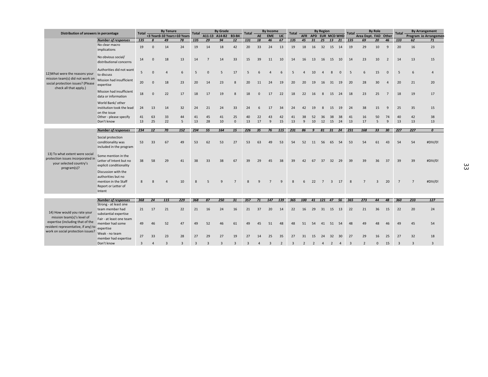|                                                                                                                                            |                                                                           | <b>Total</b>   |                         | <b>By Tenure</b> |                             | <b>Total</b>   |                | <b>By Grade</b> |                    |                |                | <b>By Income</b> |                |                |         |                | <b>By Region</b>    |              |              |              |                      | <b>By Role</b>  |                | <b>Total</b>   |                | <b>By Arrangement</b> |
|--------------------------------------------------------------------------------------------------------------------------------------------|---------------------------------------------------------------------------|----------------|-------------------------|------------------|-----------------------------|----------------|----------------|-----------------|--------------------|----------------|----------------|------------------|----------------|----------------|---------|----------------|---------------------|--------------|--------------|--------------|----------------------|-----------------|----------------|----------------|----------------|-----------------------|
| Distribution of answers in percentage                                                                                                      |                                                                           |                |                         |                  | <3 Years3-10 Years>10 Years |                |                | A11-13 A14-B2   | <b>B3-B4</b>       | Total          | AE             | <b>EME</b>       | LIC            | <b>Total</b>   |         |                | AFR APD EUR MCD WHD |              |              | <b>Total</b> | Area Dept. FAD Other |                 |                |                |                | Program Io Arrangemen |
|                                                                                                                                            | <b>Number of responses</b>                                                | 135            | $\boldsymbol{Q}$        | 49               | 78                          | 135            | 29             | 94              | 12                 | 131            | 18             | 46               | 67             | 135            | 45      | 31             | 25                  | 13           | 21           | 135          | 69                   | 20              | 46             | 133            | 62             | 71                    |
|                                                                                                                                            | No clear macro<br>implications                                            | 19             | $\Omega$                | 14               | 24                          | 19             | 14             | 18              | 42                 | 20             | 33             | 24               | 13             | 19             | 18      | 16             | 32                  | 15           | 14           | 19           | 29                   | 10              | 9              | 20             | 16             | 23                    |
|                                                                                                                                            | No obvious social/<br>distributional concerns                             | 14             | $\Omega$                | 18               | 13                          | 14             | $\overline{7}$ | 14              | 33                 | 15             | 39             | 11               | 10             | 14             | 16      | 13             | 16                  | 15 10        |              | 14           | 23                   | 10              | $\overline{2}$ | 14             | 13             | 15                    |
| 12) What were the reasons your                                                                                                             | Authorities did not want<br>to discuss                                    | 5              | O                       | 4                | 6                           | 5              | $\Omega$       | 5               | 17                 | 5              |                |                  | 6              | 5              |         | 10             |                     | 8            | $\mathbf{0}$ | -5           | 6                    | 15              | $\mathbf{0}$   | 5              | 6              |                       |
| mission team(s) did not work on<br>social protection issues? (Please<br>check all that apply.)                                             | Mission had insufficient<br>expertise                                     | 20             | $\Omega$                | 18               | 23                          | 20             | 14             | 23              | 8                  | 20             | 11             | 24               | 19             | 20             | 20      | 19             | 16                  | 31 19        |              | 20           | 28                   | 30 <sup>°</sup> | $\overline{4}$ | 20             | 21             | 20                    |
|                                                                                                                                            | Mission had insufficient<br>data or information                           | 18             | $\Omega$                | 22               | 17                          | 18             | 17             | 19              | 8                  | 18             | $\mathbf{0}$   | 17               | 22             | 18             | 22      | 16             | 8                   |              | 15 24        | 18           | 23                   | 25              | $\overline{7}$ | 18             | 19             | 17                    |
|                                                                                                                                            | World Bank/ other<br>institution took the lead                            | 24             | 13                      | 14               | 32                          | 24             | 21             | 24              | 33                 | 24             | 6              | 17               | 34             | 24             | 42      | 19             | 8                   | 15           | 19           | 24           | 38                   | 15              | 9              | 25             | 35             | 15                    |
|                                                                                                                                            | on the issue                                                              |                |                         |                  |                             |                |                |                 |                    |                |                |                  |                |                |         |                |                     |              |              |              |                      |                 | 74             |                | 42             |                       |
|                                                                                                                                            | Other - please specify<br>Don't know                                      | 41<br>13       | 63<br>25                | 33<br>22         | 44<br>5                     | 41<br>13       | 45<br>28       | 41<br>10        | 25<br>$\mathbf{0}$ | 40<br>13       | 22<br>17       | 43<br>9          | 42<br>15       | 41<br>13       | 38<br>9 | 52<br>10       | 36<br>12 15         | 38           | 38<br>24     | 41<br>13     | 16<br>17             | 50<br>5         | 9              | 40<br>13       | 13             | 38<br>13              |
|                                                                                                                                            |                                                                           |                |                         |                  |                             |                |                |                 |                    |                |                |                  |                |                |         |                |                     |              |              |              |                      |                 |                |                |                |                       |
|                                                                                                                                            | <b>Number of responses</b>                                                | 234            | 12                      | 70               | 152                         | 234            | 55             | 164             | 15                 | 226            | 35             | 76               | 115            | 231            | 86      | $\overline{g}$ |                     |              | 81 31 24     | 231          | 168                  | 33              | 30             | 227            | 227            | $\boldsymbol{0}$      |
|                                                                                                                                            | Social protection<br>conditionality was<br>included in the program        | 53             | 33                      | 67               | 49                          | 53             | 62             | 53              | 27                 | 53             | 63             | 49               | 53             | 54             | 52      | 11             | 56                  | 65           | 54           | 53           | 54                   | 61              | 43             | 54             | 54             | #DIV/0!               |
| 13) To what extent were social<br>protection issues incorporated in<br>your selected country's<br>program(s)?                              | Some mention in the<br>Letter of Intent but no<br>explicit conditionality | 38             | 58                      | 29               | 41                          | 38             | 33             | 38              | 67                 | 39             | 29             | 45               | 38             | 39             | 42      | 67             | 37                  | 32           | 29           | 39           | 39                   | 36              | 37             | 39             | 39             | #DIV/0!               |
|                                                                                                                                            | Discussion with the<br>authorities but no<br>mention in the Staff         | $\mathbf{8}$   | $\mathsf{\overline{R}}$ |                  | 10                          | $\mathbf{R}$   |                | $\mathbf{Q}$    |                    | R              |                |                  | q              | $\mathbf{R}$   |         | 22             |                     | $\mathbf{3}$ | 17           | $\mathbf{8}$ |                      | $\mathbf{R}$    | 20             | $\overline{7}$ | $\overline{7}$ | #DIV/0!               |
|                                                                                                                                            | Report or Letter of<br>Intent                                             |                |                         |                  |                             |                |                |                 |                    |                |                |                  |                |                |         |                |                     |              |              |              |                      |                 |                |                |                |                       |
|                                                                                                                                            |                                                                           |                |                         |                  |                             |                |                |                 |                    |                |                |                  |                |                |         |                |                     |              |              |              |                      |                 |                |                |                |                       |
|                                                                                                                                            | <b>Number of responses</b><br>Strong - at least one                       | 368            | 24                      | 115              | 229                         | 368            | 87             | 250             | 31                 | 357            | 71             | 147              | 139            | 365            | 100     |                | 41 121 47 56        |              |              | 365          | 273                  | 44              | 48             | 360            | 233            | 127                   |
| 14) How would you rate your                                                                                                                | team member had<br>substantial expertise                                  | 21             | 17                      | 21               | 22                          | 21             | 16             | 24              | 16                 | 21             | 37             | 20               | 14             | 22             | 16      | 29             | 31                  | 15           | 13           | 22           | 21                   | 36              | 15             | 22             | 20             | 24                    |
| mission team(s)'s level of<br>expertise (including that of the<br>resident representative, if any) to<br>work on social protection issues? | Fair - at least one team<br>member had some<br>expertise                  | 49             | 46                      | 52               | 47                          | 49             | 52             | 46              | 61                 | 49             | 45             | 51               | 48             | 48             | 51      | 54             | 41                  | 51           | 54           | 48           | 49                   | 48              | 46             | 49             | 45             | 54                    |
|                                                                                                                                            | Weak - no team<br>member had expertise                                    | 27             | 33                      | 23               | 28                          | 27             | 29             | 27              | 19                 | 27             | 14             | 25               | 35             | 27             | 31      | 15             | 24                  | 32           | 30           | 27           | 29                   | 16              | 25             | 27             | 32             | 18                    |
|                                                                                                                                            | Don't know                                                                | $\overline{3}$ | 4                       |                  |                             | $\overline{3}$ |                |                 |                    | $\overline{3}$ | $\overline{4}$ | $\mathbf{3}$     | $\overline{2}$ | $\overline{3}$ | 2       | 2              | 4                   |              |              |              | $\overline{2}$       | $\Omega$        | 15             | $\overline{3}$ | $\mathbf{3}$   | 3                     |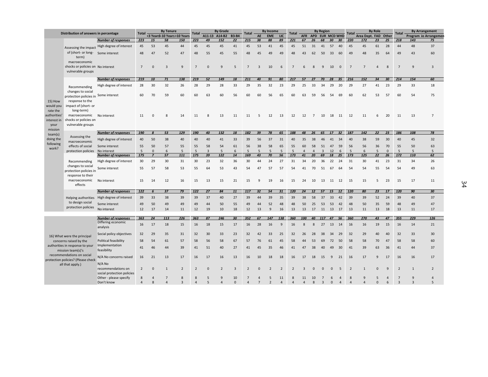|                                     | Distribution of answers in percentage                                   |                                              | <b>Total</b>        |                | <b>By Tenure</b> |                              | <b>Total</b>   |                | <b>By Grade</b> |                  | Total                      |                | <b>By Income</b> |                | <b>Total</b>                   |                |           | <b>By Region</b>        |               |              | <b>Total</b>   |                      | <b>By Role</b> |              | <b>Total</b>                     |                                | <b>By Arrangement</b> |
|-------------------------------------|-------------------------------------------------------------------------|----------------------------------------------|---------------------|----------------|------------------|------------------------------|----------------|----------------|-----------------|------------------|----------------------------|----------------|------------------|----------------|--------------------------------|----------------|-----------|-------------------------|---------------|--------------|----------------|----------------------|----------------|--------------|----------------------------------|--------------------------------|-----------------------|
|                                     |                                                                         |                                              |                     |                |                  | <3 Years3-10 Years>10 Years  |                |                | A11-13 A14-B2   | <b>B3-B4</b>     |                            | AE             | <b>EME</b>       | LIC            |                                |                |           | AFR APD EUR MCD WHD     |               |              |                | Area Dept. FAD Other |                |              |                                  |                                | Program Io Arrangemen |
|                                     |                                                                         | <b>Number of responses</b>                   | 223                 | 15             | 58               | 150                          | 223            | 49             | 152             | 22               | 215                        | 38             | 88               | 89             | 221                            | 67             | 26        | 68                      | 30            | 30           | 220            | 172                  | 23             | 25           | 218                              | 143                            | 75                    |
|                                     |                                                                         | Assessing the impact High degree of interest | 45                  | 53             | 45               | 44                           | 45             | 45             | 45              | 41               | 45                         | 53             | 41               | 45             | 45                             | 51             | 31        | 41                      | 57            | 40           | 45             | 45                   | 61             | 28           | 44                               | 48                             | 37                    |
|                                     | of (short- or long- Some interest<br>term)                              |                                              | 48                  | 47             | 52               | 47                           | 48             | 55             | 45              | 55               | 48                         | 45             | 49               | 49             | 48                             | 43             | 62        | 50                      | 33            | 60           | 49             | 48                   | 35             | 64           | 49                               | 43                             | 60                    |
|                                     | macroeconomic                                                           |                                              |                     |                |                  |                              |                |                |                 |                  |                            |                |                  |                |                                |                |           |                         |               |              |                |                      |                |              |                                  |                                |                       |
|                                     | shocks or policies on No interest<br>vulnerable groups                  |                                              | $7\overline{ }$     | $\Omega$       | $\overline{3}$   | $\overline{9}$               | $\overline{7}$ | $\Omega$       | $\mathbf{q}$    | 5                | $\overline{7}$             | $\overline{3}$ | 10               | 6              | $\overline{7}$                 | 6              | 8         | 9                       | 10            | $\mathbf{0}$ | $\overline{7}$ | $\overline{7}$       | $\Delta$       | 8            | $\overline{7}$                   | $\mathbf{q}$                   | $\overline{3}$        |
|                                     |                                                                         | <b>Number of responses</b>                   | 219                 | 10             | 71               | 138                          | 219            | 52             | 149             | 18               | 211                        | 40             | 91               | 80             | 217                            | 57             | 27        | 70                      | 28            | 35           | 216            | 152                  | 34             | 30           | 214                              | 154                            | 60                    |
|                                     | Recommending                                                            | High degree of interest                      | 28                  | 30             | 32               | 26                           | 28             | 29             | 28              | 33               | 29                         | 35             | 32               | 23             | 29                             | 25             | 33        | 34                      | 29            | 20           | 29             | 27                   | 41             | 23           | 29                               | 33                             | 18                    |
|                                     | changes to social<br>protection policies in Some interest               |                                              | 60                  | 70             | 59               | 60                           | 60             | 63             | 60              | 56               | 60                         | 60             | 56               | 65             | 60                             | 63             | 59        | 56                      | 54            | 69           | 60             | 62                   | 53             | 57           | 60                               | 54                             | 75                    |
| 15) How<br>would you<br>rate the    | response to the<br>impact of (short- or<br>long-term)                   |                                              |                     |                |                  |                              |                |                |                 |                  |                            |                |                  |                |                                |                |           |                         |               |              |                |                      |                |              |                                  |                                |                       |
| authorities'<br>interest in<br>your | macroeconomic No interest<br>shocks or policies on<br>vulnerable groups |                                              | 11                  | $\Omega$       | 8                | 14                           | 11             | 8              | 13              | 11               | 11                         | .5             | 12               | 13             | 12                             | 12             | 7         | 10                      | 18            | - 11         | 12             | 11                   | 6              | 20           | 11                               | 13                             | $\overline{7}$        |
| mission                             |                                                                         | <b>Number of responses</b>                   | 190                 | 8              | 53               | 129                          | 190            | 40             | 132             | 18               | 182                        | 39             | 78               | 65             | 188                            | 48             | 26        | 65                      | 17            | 32           | 187            | 142                  | 22             | 23           | 186                              | 108                            | 78                    |
| team(s)<br>doing the                | Assessing the<br>macroeconomic                                          | High degree of interest                      | 40                  | 50             | 38               | 40                           | 40             | 40             | 41              | 33               | 39                         | 56             | 37               | 31             | 40                             | 35             | 38        | 46                      | 41            | 34           | 40             | 38                   | 59             | 30           | 40                               | 45                             | 32                    |
| following                           | effects of social                                                       | Some interest                                | 55                  | 50             | 57               | 55                           | 55             | 58             | 54              | 61               | 56                         | 38             | 58               | 65             | 55                             | 60             | 58        | 51                      | 47            | 59           | 56             | 56                   | 36             | 70           | 55                               | 50                             | 63                    |
| work?                               | protection policies                                                     | No interest                                  | 5                   | $\mathbf{0}$   | 6                | 5                            | 5              | $\overline{3}$ | $\overline{5}$  | $6 \overline{6}$ | 5                          | $\overline{5}$ | 5                | 5              | 5                              | $\Lambda$      | $\Lambda$ | $\overline{\mathbf{a}}$ | 12            | 6            | 5              | 6                    | 5              | $\Omega$     | 5                                | 5                              | 5                     |
|                                     |                                                                         | <b>Number of responses</b>                   | 175                 | $\overline{z}$ | 57               | 111                          | 175            | 39             | 122             | 14               | 169                        | 43             | 70               | 56             | 173                            | 41             | 20        | 69                      | 18            | 25           | 173            | 125                  | 22             | 26           | 172                              | 110                            | 62                    |
|                                     | Recommending                                                            | High degree of interest                      | 30                  | 29             | 30               | 31                           | 30             | 23             | 32              | 36               | 30                         | 44             | 24               | 27             | 31                             | 34             | 20        | 36                      | 22            | 24           | 31             | 30                   | 41             | 23           | 31                               | 34                             | 26                    |
|                                     | changes to social<br>protection policies in                             | Some interest                                | 55                  | 57             | 58               | 53                           | 55             | 64             | 53              | 43               | 54                         | 47             | 57               | 57             | 54                             | 41             | 70        | 51                      | 67            | 64           | 54             | 54                   | 55             | 54           | 54                               | 49                             | 63                    |
|                                     | response to their<br>macroeconomic<br>effects                           | No interest                                  | 15                  | 14             | 12               | 16                           | 15             | 13             | 15              | 21               | 15                         | 9              | 19               | 16             | 15                             | 24             | 10        | 13                      | 11            | 12           | 15             | 15                   | 5              | 23           | 15                               | 17                             | 11                    |
|                                     |                                                                         | <b>Number of responses</b>                   | 122                 | 6              | 37               | 79                           | 122            | 27             | 84              | 11               | 117                        | 32             | 54               | 31             | 120                            | 24             | 12        | 57                      | 15            | 12           | 120            | 80                   | 23             | 17           | 120                              | 90                             | 30                    |
|                                     | to design social                                                        | Helping authorities High degree of interest  | 39                  | 33             | 38               | 39                           | 39             | 37             | 40              | 27               | 39                         | 44             | 39               | 35             | 39                             | 38             | 58        | 37                      | 33            | 42           | 39             | 39                   | 52             | 24           | 39                               | 40                             | 37                    |
|                                     | protection policies                                                     | Some interest                                | 49                  | 50             | 49               | 49                           | 49             | 44             | 50              | 55               | 49                         | 44             | 52               | 48             | 48                             | 50             | 25        | 53                      | 53            | 42           | 48             | 50                   | 35             | 59           | 48                               | 49                             | 47                    |
|                                     |                                                                         | No interest                                  | 12                  | 17             | 14               | 11                           | 12             | 19             | 10              | 18               | 12                         | 13             | 9                | 16             | 13                             | 13             | 17        | 11                      | 13            | 17           | 13             | 11                   | 13             | 18           | 13                               | 11                             | 17                    |
|                                     |                                                                         | <b>Number of responses</b>                   | 363                 | 24             | 113              | 226                          | 363            | 87             | 246             | 30               | 352                        | 67             | 147              | 138            | 360                            | 100            | 40        | <b>117</b>              | 47            | 56           | 360            | 270                  | 43             | 47           | 355                              | 229                            | 126                   |
|                                     |                                                                         | Differing economic<br>analysis               | 16                  | 17             | 18               | 15                           | 16             | 18             | 15              | 17               | 16                         | 28             | 16               | 9              | 16                             | $\mathbf{8}$   | 8         | 27                      | 13 14         |              | 16             | 16                   | 19             | 15           | 16                               | 14                             | 21                    |
|                                     | 16) What were the principal                                             | Social policy objectives                     | 32                  | 29             | 35               | 31                           | 32             | 30             | 33              | 23               | 32                         | 42             | 33               | 25             | 32                             | 26             | 28        | 38                      | 34            | 29           | 32             | 29                   | 40             | 40           | 32                               | 33                             | 30                    |
|                                     | concerns raised by the                                                  | Political feasibility                        | 58                  | 54             | 61               | 57                           | 58             | 56             | 58              | 67               | 57                         | 76             | 61               | 45             | 58                             | 44             | 53        | 69                      | 72            | 50           | 58             | 58                   | 70             | 47           | 58                               | 58                             | 60                    |
|                                     | authorities in response to your<br>mission team(s)'s                    | Implementation<br>feasibility                | 41                  | 46             | 44               | 39                           | 41             | 51             | 40              | 27               | 41                         | 45             | 35               | 46             | 41                             | 47             | 38        | 40                      | 49            | 30           | 41             | 39                   | 63             | 36           | 41                               | 44                             | 37                    |
|                                     | recommendations on social<br>protection policies? (Please check         | N/A No concerns raised                       | 16                  | 21             | 13               | 17                           | 16             | 17             | 16              | 13               | 16                         | 10             | 18               | 18             | 16                             | 17             | 18        | 15                      | 9             | 21           | 16             | 17                   | $\mathsf{q}$   | 17           | 16                               | 16                             | 17                    |
|                                     | all that apply.)                                                        | N/A No<br>recommendations on                 | $\overline{2}$      | $\Omega$       | $\mathbf{1}$     | $\overline{2}$               | $\overline{2}$ | $\Omega$       | $\overline{2}$  | $\overline{3}$   | $\overline{2}$             | $\Omega$       |                  | $\overline{2}$ | $\overline{2}$                 | 3              | $\Omega$  | $\Omega$                | $\mathbf{0}$  | 5            | $\overline{2}$ | $\mathbf{1}$         | $\Omega$       | $\mathbf{q}$ | $\overline{2}$                   | $\mathbf{1}$                   | $\overline{2}$        |
|                                     |                                                                         | social protection policies                   |                     |                |                  |                              |                |                |                 |                  |                            |                |                  |                |                                |                |           |                         |               |              |                |                      |                |              |                                  |                                |                       |
|                                     |                                                                         | Other - please specify<br>Don't know         | 8<br>$\overline{4}$ | 8              | 7<br>$\Delta$    | 8<br>$\overline{\mathbf{a}}$ | 8<br>$\Delta$  | 5<br>5         | q<br>$\Delta$   | 10<br>$\Omega$   | $\overline{7}$<br>$\Delta$ |                |                  | 11<br>$\Delta$ | $\mathbf{8}$<br>$\overline{4}$ | 11<br>$\Delta$ | 10<br>8   | $\overline{a}$          | 6<br>$\Omega$ | $\Delta$     | $\Delta$       | q<br>$\Delta$        | $\Omega$       | $\sqrt{2}$   | $\overline{7}$<br>$\overline{3}$ | $\mathbf{q}$<br>$\overline{3}$ | 5                     |
|                                     |                                                                         |                                              |                     |                |                  |                              |                |                |                 |                  |                            |                |                  |                |                                |                |           |                         |               |              |                |                      |                |              |                                  |                                |                       |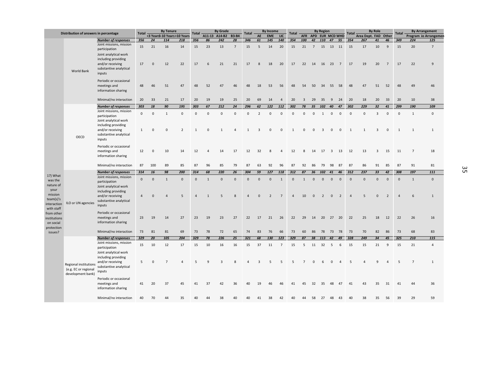|                                                                      | Distribution of answers in percentage                                     |                                                                                                                                                  | <b>Total</b>                    |                            | <b>By Tenure</b>            |                               | <b>Total</b>            |                          | <b>By Grade</b>                |                          | <b>Total</b>                   |                            | <b>By Income</b>              |                                | Total                          |                          |                              | <b>By Region</b>              |                            |                               | <b>Total</b>                          |                          | <b>By Role</b>              |                               | <b>Total</b>                  |                | <b>By Arrangement</b>       |
|----------------------------------------------------------------------|---------------------------------------------------------------------------|--------------------------------------------------------------------------------------------------------------------------------------------------|---------------------------------|----------------------------|-----------------------------|-------------------------------|-------------------------|--------------------------|--------------------------------|--------------------------|--------------------------------|----------------------------|-------------------------------|--------------------------------|--------------------------------|--------------------------|------------------------------|-------------------------------|----------------------------|-------------------------------|---------------------------------------|--------------------------|-----------------------------|-------------------------------|-------------------------------|----------------|-----------------------------|
|                                                                      |                                                                           |                                                                                                                                                  |                                 |                            | <3 Years3-10 Years>10 Years |                               |                         |                          | A11-13 A14-B2 B3-B4            |                          |                                | AE                         | <b>EME</b>                    | LIC                            |                                |                          | AFR APD EUR MCD WHD          |                               |                            |                               |                                       | Area Dept. FAD Other     |                             |                               |                               |                | Program Io Arrangemen       |
|                                                                      |                                                                           | <b>Number of responses</b>                                                                                                                       | 356                             | 24                         | 114                         | 218                           | 356                     | 86                       | 242                            | 28                       | 346                            | 61                         | 145                           | 140                            | 354                            | 100                      | 42                           |                               | 110 47 55                  |                               | 354                                   | 267                      | 41                          | 46                            | 349                           | 224            | 125                         |
|                                                                      |                                                                           | Joint missions, mission<br>participation                                                                                                         | 15                              | 21                         | 16                          | 14                            | 15                      | 23                       | 13                             | 7                        | 15                             | 5                          | 14                            | 20                             | 15                             | 21                       | $\overline{7}$               | 15                            | 13                         | 11                            | 15                                    | 17                       | 10                          | 9                             | 15                            | 20             | $\overline{7}$              |
|                                                                      | World Bank                                                                | Joint analytical work<br>including providing<br>and/or receiving<br>substantive analytical<br>inputs                                             | 17                              | $\mathbf 0$                | 12                          | 22                            | 17                      | 6                        | 21                             | 21                       | 17                             | 8                          | 18                            | 20                             | 17                             |                          | 22 14                        | 16 23                         |                            | $\overline{7}$                | 17                                    | 19                       | 20                          | $\overline{7}$                | 17                            | 22             | 9                           |
|                                                                      |                                                                           | Periodic or occasional<br>meetings and<br>information sharing                                                                                    | 48                              | 46                         | 51                          | 47                            | 48                      | 52                       | 47                             | 46                       | 48                             | 18                         | 53                            | 56                             | 48                             | 54                       | 50                           | 34                            | 55                         | 58                            | 48                                    | 47                       | 51                          | 52                            | 48                            | 49             | 46                          |
|                                                                      |                                                                           | Minimal/no interaction                                                                                                                           | 20                              | 33                         | 21                          | 17                            | 20                      | 19                       | 19                             | 25                       | 20                             | 69                         | 14                            | $\overline{4}$                 | 20                             | 3                        | 29                           | 35                            | 9                          | -24                           | 20                                    | 18                       | 20                          | 33                            | 20                            | 10             | 38                          |
|                                                                      |                                                                           | <b>Number of responses</b>                                                                                                                       | 303                             | 18                         | 90                          | 195                           | 303                     | 67                       | 212                            | 24                       | 296                            | 62                         | 122                           | 112                            | 302                            | 78                       | 35                           | 102                           | 40                         | 47                            | 302                                   | 229                      | 32 <sub>2</sub>             | 41                            | 299                           | 190            | 109                         |
|                                                                      | OECD                                                                      | Joint missions, mission<br>participation<br>Joint analytical work<br>including providing<br>and/or receiving<br>substantive analytical<br>inputs | $\mathbf{0}$<br>1               | $\mathbf 0$<br>$\mathbf 0$ | $\mathbf{1}$<br>$\Omega$    | $\mathsf 0$<br>$\overline{2}$ | $\mathbf{0}$<br>1       | $\mathbf{0}$<br>$\Omega$ | $\mathbf{0}$<br>$\overline{1}$ | $\mathbf{0}$<br>$\Delta$ | $\mathbf{0}$<br>$\overline{1}$ | $\overline{2}$<br>3        | $\mathsf 0$<br>$\mathbf 0$    | $\mathbf 0$<br>$\mathbf 0$     | $\mathbf{0}$<br>$\mathbf{1}$   | $\mathbf{0}$<br>$\Omega$ | $\mathbf{0}$<br>$\mathbf{0}$ | 1<br>3                        | $\mathbf{0}$<br>0          | $\mathbf{0}$<br>$\mathsf 0$   | $\mathbf{0}$<br>$\overline{1}$        | $\Omega$<br>$\mathbf{1}$ | 3<br>3                      | $\mathbf 0$<br>$\mathsf 0$    | $\mathbf{0}$<br>1             | 1<br>1         | $\mathbf 0$<br>1            |
|                                                                      |                                                                           | Periodic or occasional<br>meetings and<br>information sharing                                                                                    | 12                              | $\mathbf 0$                | 10                          | 14                            | 12                      |                          | 14                             | 17                       | 12                             | 32                         | 8                             | $\overline{4}$                 | 12                             | 8                        | 14                           | 17                            | $\overline{\mathbf{3}}$    | 13                            | 12                                    | 13                       | 3                           | 15                            | 11                            | $\overline{7}$ | 18                          |
|                                                                      |                                                                           | Minimal/no interaction                                                                                                                           | 87                              | 100                        | 89                          | 85                            | 87                      | 96                       | 85                             | 79                       | 87                             | 63                         | 92                            | 96                             | 87                             | 92                       | 86                           | 79                            | 98                         | 87                            | 87                                    | 86                       | 91                          | 85                            | 87                            | 91             | 81                          |
|                                                                      |                                                                           | <b>Number of responses</b>                                                                                                                       | 314                             | 16                         | 98                          | 200                           | 314                     | 68                       | 220                            | 26                       | 304                            | 59                         | 127                           | 118                            | 312                            | 87                       | 36                           | 102                           | 41                         | 46                            | 312                                   | 237                      | 33                          | 42                            | 308                           | 197            | 111                         |
| 17) What<br>was the<br>nature of<br>your<br>mission<br>team(s)'s     |                                                                           | Joint missions, mission<br>participation<br>Joint analytical work<br>including providing<br>and/or receiving<br>substantive analytical           | $\mathsf{O}\xspace$<br>$\Delta$ | $\mathbf 0$<br>$\Omega$    | $\mathbf{1}$<br>$\Delta$    | $\mathbf 0$<br>5              | $\mathbf 0$<br>$\Delta$ | 1<br>$\overline{1}$      | $\mathbf 0$<br>5               | $\mathsf 0$<br>8         | $\mathbf 0$<br>$\Delta$        | $\mathbf 0$<br>$\mathbf 0$ | $\mathbf 0$<br>$\overline{2}$ | $\mathbf{1}$<br>$\overline{7}$ | $\mathbf{0}$<br>$\overline{4}$ | $\mathbf{1}$<br>10       | $\mathbf 0$<br>$\mathbf 0$   | $\mathsf 0$<br>$\overline{2}$ | $\mathbf 0$<br>$\mathsf 0$ | $\mathbf 0$<br>$\overline{2}$ | $\mathsf{O}\xspace$<br>$\overline{4}$ | $\mathbf{0}$<br>5        | $\mathbf 0$<br>$\mathbf{0}$ | $\mathbf 0$<br>$\overline{2}$ | $\mathbf 0$<br>$\overline{a}$ | 1<br>6         | $\mathbf 0$<br>$\mathbf{1}$ |
| interaction<br>with staff<br>from other<br>institutions<br>on social | ILO or UN agencies                                                        | inputs<br>Periodic or occasional<br>meetings and<br>information sharing                                                                          | 23                              | 19                         | 14                          | 27                            | 23                      | 19                       | 23                             | 27                       | 22                             | 17                         | 21                            | 26                             | 22                             | 29                       | 14                           | 20                            | 27 20                      |                               | 22                                    | 25                       | 18                          | 12                            | 22                            | 26             | 16                          |
| protection<br>issues?                                                |                                                                           | Minimal/no interaction                                                                                                                           | 73                              | 81                         | 81                          | 69                            | 73                      | 78                       | 72                             | 65                       | 74                             | 83                         | 76                            | 66                             | 73                             | 60                       | 86                           | 78                            | 73                         | 78                            | 73                                    | 70                       | 82                          | 86                            | 73                            | 68             | 83                          |
|                                                                      |                                                                           | <b>Number of responses</b>                                                                                                                       | 329                             | 20                         | 105                         | 204                           | 329                     | 78                       | 226                            | 25                       | 321                            | 68                         | 130                           | 123                            | 329                            | 87                       | 38                           | 113                           | 42                         | 49                            | 328                                   | 249                      | 34                          | 45                            | 325                           | 210            | 115                         |
|                                                                      |                                                                           | Joint missions, mission<br>participation<br>Joint analytical work                                                                                | 15                              | 10                         | 12                          | 17                            | 15                      | 10                       | 16                             | 16                       | 15                             | 37                         | 11                            | $\overline{7}$                 | 15                             | 5                        | 11                           | 32                            | 5                          | 6                             | 15                                    | 15                       | 21                          | 9                             | 15                            | 21             | 4                           |
|                                                                      | <b>Regional institutions</b><br>(e.g. EC or regional<br>development bank) | including providing<br>and/or receiving<br>substantive analytical<br>inputs                                                                      | 5                               | $\mathbf{0}$               | $\overline{7}$              | $\Delta$                      | 5                       | 9                        | 3                              | 8                        | $\Delta$                       | 3                          | 5                             | 5                              | 5                              | $\overline{7}$           | $\mathbf{0}$                 | 6                             | $\mathbf{0}$               | $\overline{4}$                | 5                                     | $\overline{4}$           | 9                           | $\overline{4}$                | 5                             | $\overline{7}$ | 1                           |
|                                                                      |                                                                           | Periodic or occasional<br>meetings and<br>information sharing                                                                                    | 41                              | 20                         | 37                          | 45                            | 41                      | 37                       | 42                             | 36                       | 40                             | 19                         | 46                            | 46                             | 41                             | 45                       | 32                           | 35                            | 48                         | 47                            | 41                                    | 43                       | 35                          | 31                            | 41                            | 44             | 36                          |
|                                                                      |                                                                           | Minimal/no interaction                                                                                                                           | 40                              | 70                         | 44                          | 35                            | 40                      | $\Lambda\Lambda$         | 38                             | 40                       | 40                             | 41                         | 38                            | 42                             | $\Delta$ 0                     | 44                       | 58                           | 27                            | 48                         | 43                            | 40                                    | 38                       | 35                          | 56                            | 39                            | 29             | 59                          |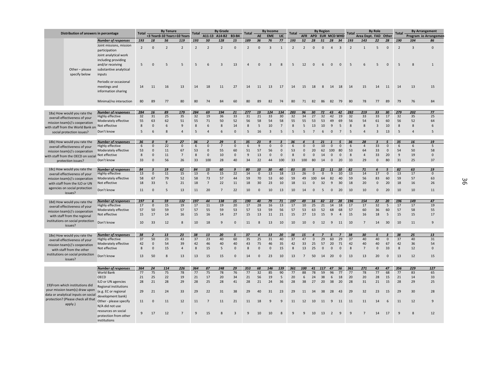| Distribution of answers in percentage |                                                                       | <b>By Tenure</b><br><b>Total</b>                                            |                |                             |                  |                | <b>By Grade</b><br>Total |                |                |                  | <b>By Income</b><br>Total |             |                         |                | <b>By Region</b><br><b>Total</b> |                |              |                 |                |                | <b>By Role</b><br>Total |                |                |              | <b>By Arrangement</b> |                       |                |
|---------------------------------------|-----------------------------------------------------------------------|-----------------------------------------------------------------------------|----------------|-----------------------------|------------------|----------------|--------------------------|----------------|----------------|------------------|---------------------------|-------------|-------------------------|----------------|----------------------------------|----------------|--------------|-----------------|----------------|----------------|-------------------------|----------------|----------------|--------------|-----------------------|-----------------------|----------------|
|                                       |                                                                       |                                                                             |                | <3 Years3-10 Years>10 Years |                  |                |                          | A11-13 A14-B2  | <b>B3-B4</b>   |                  | AE                        | <b>EME</b>  | LIC                     |                | <b>AFR</b>                       |                |              | APD EUR MCD WHD |                |                | Area Dept. FAD Other    |                |                | <b>Total</b> |                       | Program Io Arrangemer |                |
|                                       |                                                                       | <b>Number of responses</b>                                                  | 193            | 18                          | 56               | 119            | 193                      | 50             | 128            | 15               | 189                       | 36          | 76                      | 77             | 193                              | 52             | 28           | 51              | 28             | 34             | 193                     | 143            | 22             | 28           | 190                   | 104                   | 86             |
|                                       | Other-please<br>specify below                                         | Joint missions, mission<br>participation<br>Joint analytical work           | $\overline{2}$ | $\Omega$                    | $\overline{2}$   | $\overline{2}$ | $\overline{2}$           | $\overline{2}$ | $\overline{2}$ | $\mathbf{0}$     | $\overline{2}$            | $\Omega$    | $\overline{3}$          | $\mathbf{1}$   | $\overline{2}$                   | $\overline{2}$ | $\Omega$     | $\mathbf{0}$    | $\overline{4}$ | $\overline{3}$ | $\overline{2}$          | $\mathbf{1}$   | 5              | $\mathbf{0}$ | $\overline{2}$        | $\overline{3}$        | $\Omega$       |
|                                       |                                                                       | including providing<br>and/or receiving<br>substantive analytical<br>inputs | 5              | $\Omega$                    | 5                | 5              | 5                        | 6              | $\overline{3}$ | 13               | $\Delta$                  | $\Omega$    | $\overline{3}$          | $\mathbf{8}$   | 5                                | 12             | $\Omega$     | 6               | $\mathbf{0}$   | $\Omega$       | 5                       | 6              | 5              | $\Omega$     | 5                     |                       | $\mathbf{1}$   |
|                                       |                                                                       | Periodic or occasional<br>meetings and<br>information sharing               | 14             | 11                          | 16               | 13             | 14                       | 18             | 11             | 27               | 14                        | 11          | 13                      | 17             | 14                               | 15             | 18           | 8               | 14             | 18             | 14                      | 15             | 14             | 11           | 14                    | 13                    | 15             |
|                                       |                                                                       | Minimal/no interaction                                                      | 80             | 89                          | 77               | 80             | 80                       | 74             | 84             | 60               | 80                        | 89          | 82                      | 74             | 80                               | 71             | 82           | 86              | 82 79          |                | 80                      | 78             | 77             | 89           | 79                    | 76                    | 84             |
|                                       | 18a) How would you rate the                                           | <b>Number of responses</b>                                                  | 284            | 16                          | 89               | 179            | 284                      | 69             | 194            | 21               | 277                       | 19          | 124                     | 134            | 283                              | 96             | 30           | 72              | 43             | 42             | 282                     | 219            | 33             | 30           | 279                   | 202                   | 77             |
|                                       | overall effectiveness of your                                         | Highly effective                                                            | 32             | 31                          | 25               | 35             | 32                       | 19             | 36             | 33               | 31                        | $21\,$      | 33                      | 30             | 32                               | 34             | 27           | 32              | 42             | 19             | 32                      | 33             | 33             | 17           | 32                    | 35                    | 25             |
|                                       | mission team(s)'s cooperation                                         | Moderately effective                                                        | 55             | 63                          | 62               | 51             | 55                       | 71             | 50             | 52               | 56                        | 58          | 54                      | 58             | 55                               | 55             | 53           | 53              | 49             | 69             | 56                      | 54             | 61             | 60           | 56                    | 52                    | 64             |
|                                       | with staff from the World Bank on                                     | Not effective                                                               | 8              | $\mathbf 0$                 | 6                | 9              | 8                        | 6              | 8              | 14               | 8                         | 5           | 10                      | $\overline{7}$ | 8                                | 5              | 13           | 10              | 9              | 5              | 8                       | 8              | $\mathbf{3}$   | 10           | 8                     | 8                     | 6              |
|                                       | social protection issues?                                             | Don't know                                                                  | 5              | 6                           | $\mathbf{8}$     | $\Delta$       | 5                        | $\Delta$       | 6              | $\mathbf 0$      | 5                         | 16          | $\overline{\mathbf{3}}$ | 5              | 5                                | 5              | 7            | 6               | $\mathbf{0}$   | $\overline{7}$ | 5                       | $\Delta$       | $\overline{3}$ | 13           | 5                     | $\Delta$              | 5              |
|                                       |                                                                       |                                                                             |                |                             |                  |                |                          |                |                |                  |                           |             |                         |                |                                  |                |              |                 |                |                |                         |                |                |              |                       |                       |                |
|                                       | 18b) How would you rate the                                           | <b>Number of responses</b>                                                  | 36             | $\mathbf{a}$                | $\boldsymbol{q}$ | 27             | 36                       |                | 29             | $\overline{5}$   | 35                        | 23          | $\mathbf{q}$            |                | 36                               | $\overline{a}$ | 5            | 21              |                | 5              | 36                      | 28             | 3              | $\sqrt{2}$   | 35                    | 16                    | 19             |
| overall effectiveness of your         |                                                                       | Highly effective                                                            | 6              | $\mathbf 0$                 | 22               | $\mathbf 0$    | 6                        | $\Omega$       | $\overline{7}$ | $\mathbf 0$      | 6                         | $9\,$       | $\mathbf 0$             | $\mathbf 0$    | 6                                | $\Omega$       | $\Omega$     | 10              | $\mathbf{0}$   | $\mathbf 0$    | 6                       | 4              | 33             | $\mathbf 0$  | 6                     | 6                     | 5              |
|                                       | mission team(s)'s cooperation                                         | Moderately effective                                                        | 53             | $\mathbf 0$                 | 11               | 67             | 53                       | $\mathbf 0$    | 55             | 60               | 51                        | 57          | 56                      | $\mathbf{0}$   | 53                               | $\mathbf{0}$   | 20           | 62              | 100            | 80             | 53                      | 64             | 33             | $\mathbf{0}$ | 54                    | 50                    | 58             |
|                                       | with staff from the OECD on social Not effective                      |                                                                             | 8              | $\Omega$                    | 11               | $\overline{7}$ | 8                        | $\mathbf 0$    | 10             | $\mathbf 0$      | 9                         | 13          | $\mathsf 0$             | $\mathbf 0$    | 8                                | $\mathbf{0}$   | $\Omega$     | 14              | $\mathbf 0$    | $\mathbf 0$    | 8                       | $\overline{4}$ | 33             | 20           | 9                     | 19                    | $\mathbf 0$    |
| protection issues?                    |                                                                       | Don't know                                                                  | 33             | $\mathbf{0}$                | 56               | 26             | 33                       | 100            | 28             | 40               | 34                        | 22          | 44                      | 100            | 33                               | 100            | 80           | 14              | $\mathbf{0}$   | 20             | 33                      | 29             | $\mathbf{0}$   | 80           | 31                    | 25                    | 37             |
| 18c) How would you rate the           |                                                                       | <b>Number of responses</b>                                                  | 84             | $\overline{3}$              | 19               | 62             | 84                       | 15             | 60             | $\boldsymbol{q}$ | 80                        | 10          | 30                      | 40             | 83                               | 35             |              | 22              | 11             | 10             | 82                      | 71             | 6              |              | 82                    | 63                    | 19             |
| overall effectiveness of your         |                                                                       | <b>Highly effective</b>                                                     | 13             | $\mathbf 0$                 | 11               | 15             | 13                       | $\mathbf 0$    | 15             | 22               | 14                        | $\mathbf 0$ | 13                      | 18             | 13                               | 26             | $\mathbf 0$  | $\mathbf 0$     | 9              | 10             | 13                      | 14             | 17             | $\mathbf 0$  | 13                    | 17                    | $\mathbf{0}$   |
| mission team(s)'s cooperation         |                                                                       | Moderately effective                                                        | 58             | 67                          | 79               | 52             | 58                       | 73             | 57             | 44               | 59                        | 70          | 53                      | 60             | 59                               | 49             | 100          | 64              | 82             | 40             | 59                      | 56             | 83             | 60           | 59                    | 57                    | 63             |
| with staff from the ILO or UN         |                                                                       | Not effective                                                               | 18             | 33                          | 5                | 21             | 18                       | $\overline{7}$ | 22             | $11\,$           | 18                        | 30          | 23                      | 10             | 18                               | 11             | $\mathbf 0$  | 32              | 9              | 30             | 18                      | 20             | $\mathbf{0}$   | 20           | 18                    | 16                    | 26             |
|                                       | agencies on social protection<br>issues?                              | Don't know                                                                  | 11             | $\Omega$                    | 5                | 13             | 11                       | 20             | $\overline{7}$ | 22               | 10                        | $\mathbf 0$ | 10                      | 13             | 10                               | 14             | $\Omega$     | 5               | $\mathbf{0}$   | 20             | 10                      | 10             | $\mathbf 0$    | 20           | 10                    | 10                    | 11             |
|                                       | 18d) How would you rate the                                           | <b>Number of responses</b>                                                  | 197            | 6                           | 59               | 132            | 197                      | 44             | 138            | 15               | 190                       | 40          | 79                      | 71             | 197                              | 49             | 16           | 82              | 22             | 28             | 196                     | 154            | 22             | 20           | 196                   | 149                   | 47             |
|                                       | overall effectiveness of your                                         | Highly effective                                                            | 17             | $\mathbf 0$                 | 15               | 19             | 17                       | 11             | 19             | 20               | 17                        | 28          | 16                      | 13             | 17                               | 10             | 25           | 21              | 14             | 18             | 17                      | 17             | 32             | 5            | 17                    | 17                    | 19             |
|                                       | mission team(s)'s cooperation                                         | Moderately effective                                                        | 57             | 50                          | 59               | 57             | 57                       | 55             | 59             | 53               | 57                        | 53          | 59                      | 56             | 57                               | 53             | 63           | 52              | 68             | 68             | 57                      | 60             | 36             | 60           | 57                    | 58                    | 55             |
|                                       | with staff from the regional                                          | Not effective                                                               | 15             | 17                          | 14               | 16             | 15                       | 16             | 14             | 27               | 15                        | 13          | 11                      | 21             | 15                               | 27             | 13           | 15              | 9              | $\Delta$       | 15                      | 16             | 18             | 5            | 15                    | 15                    | 17             |
|                                       | institutions on social protection                                     | Don't know                                                                  | 10             | 33                          | 12               | 8              | 10                       | 18             | 9              | $\overline{0}$   | 11                        | 8           | 13                      | 10             | 10                               | 10             | $\mathbf{0}$ | 12              | 9              | 11             | 10                      | $\overline{7}$ | 14             | 30           | 10                    | 11                    | $\overline{9}$ |
|                                       | issues?                                                               |                                                                             |                |                             |                  |                |                          |                |                |                  |                           |             |                         |                |                                  |                |              |                 |                |                |                         |                |                |              |                       |                       |                |
|                                       | 18e) How would you rate the                                           | <b>Number of responses</b>                                                  | 38             | $\overline{2}$              | 13               | 23             | 38                       | 13             | 20             | -5               | 37                        | 4           | 13                      | 20             | 38                               | 15             | Δ            | 7               | 5              | 7              | 38                      | 30             | 5              |              | 38                    | 25                    | 13             |
|                                       | overall effectiveness of your                                         | Highly effective                                                            | 37             | 50                          | 23               | 43             | 37                       | 23             | 40             | 60               | 35                        | 25          | 31                      | 40             | 37                               | 47             | $\mathbf{0}$ | 29              | 60             | 29             | 37                      | 40             | 40             | $\mathbf 0$  | 37                    | 40                    | 31             |
|                                       | mission team(s)'s cooperation                                         | Moderately effective                                                        | 42             | $\mathbf 0$                 | 54               | 39             | 42                       | 46             | 40             | 40               | 43                        | 75          | 46                      | 35             | 42                               | 33             | 25           | 57              | 20             | 71             | 42                      | 40             | 40             | 67           | 42                    | 36                    | 54             |
|                                       | with staff from the other                                             | Not effective                                                               | 8              | $\mathbf{0}$                | 15               | $\overline{4}$ | 8                        | 15             | 5              | $\overline{0}$   | 8                         | $\mathbf 0$ | $\mathbf{0}$            | 15             | 8                                | 13             | 25           | $\mathbf 0$     | $\mathbf 0$    | $\Omega$       | 8                       | $\overline{7}$ | $\mathbf{0}$   | 33           | 8                     | 12                    | $\mathbf{0}$   |
|                                       | institutions on social protection<br>issues?                          | Don't know                                                                  | 13             | 50                          | 8                | 13             | 13                       | 15             | 15             | $\mathbf 0$      | 14                        | $\mathbf 0$ | 23                      | 10             | 13                               | $\overline{7}$ | 50           | 14              | 20             | $\mathbf 0$    | 13                      | 13             | 20             | $\mathbf 0$  | 13                    | 12                    | 15             |
|                                       |                                                                       |                                                                             | 364            | 24                          | 114              | 226            | 364                      | 87             | 248            | 29               | 353                       | 68          | 146                     | 139            | 361                              | 100            |              | 117             | 47             | 56             | 361                     | 271            | 43             | 47           | 356                   | 229                   | 127            |
|                                       |                                                                       | <b>Number of responses</b><br><b>World Bank</b>                             | 77             | 75                          | 75               | 78             | 77                       | 75             | 78             | 76               | 77                        | 32          | 85                      | 90             | 77                               | 88             | 41<br>78     | 59              | 96             | 77             | 77                      | 78             | 77             | 68           | 77                    | 83                    | 65             |
|                                       |                                                                       | <b>OECD</b>                                                                 | 21             | 25                          | 22               | 19             | 21                       | 17             | 20             | 34               | 21                        | 56          | 19                      | 5              | 20                               | 6              | 24           | 38              | 6              | 18             | 20                      | 20             | 28             | 15           | 21                    | 14                    | 33             |
|                                       |                                                                       | ILO or UN agencies                                                          | 28             | 21                          | 28               | 29             | 28                       | 25             | 28             | 41               | 28                        | 21          | 24                      | 36             | 28                               | 38             | 27           | 20              | 38             | 20             | 28                      | 31             | 21             | 15           | 28                    | 29                    | 25             |
| 19) From which institutions did       |                                                                       | <b>Regional institutions</b>                                                |                |                             |                  |                |                          |                |                |                  |                           |             |                         |                |                                  |                |              |                 |                |                |                         |                |                |              |                       |                       |                |
|                                       | your mission team(s) draw upon<br>data or analytical inputs on social | (e.g. EC or regional<br>development bank)                                   | 29             | 21                          | 24               | 33             | 29                       | 22             | 31             | 38               | 29                        | 40          | 31                      | 23             | 29                               | 11             | 34           | 38              | 28             | 43             | 29                      | 32             | 23             | 15           | 29                    | 30                    | 28             |
|                                       | protection? (Please check all that<br>apply.)                         | Other - please specify<br>N/A did not use                                   | 11             | $\Omega$                    | 11               | 12             | 11                       | $\overline{7}$ | 11             | 21               | 11                        | 18          | C                       | q              | 11                               | 12             | 10           | 11              | 9              | 11             | 11                      | 11             | 14             | 6            | 11                    | 12                    | 9              |
|                                       |                                                                       | resources on social<br>protection from other<br>institutions                | $\mathbf{q}$   | 17                          | 12               | $\overline{7}$ | $\mathbf{q}$             | 15             | $\mathbf{8}$   | $\overline{3}$   | $\mathbf{q}$              | 10          | 10                      | $\mathbf{8}$   | $\mathbf{q}$                     | $\mathbf{q}$   | 10           | 13              | 2              | $\mathbf{q}$   | q                       |                | 14             | 17           | $\mathbf{q}$          | 8                     | 12             |
|                                       |                                                                       |                                                                             |                |                             |                  |                |                          |                |                |                  |                           |             |                         |                |                                  |                |              |                 |                |                |                         |                |                |              |                       |                       |                |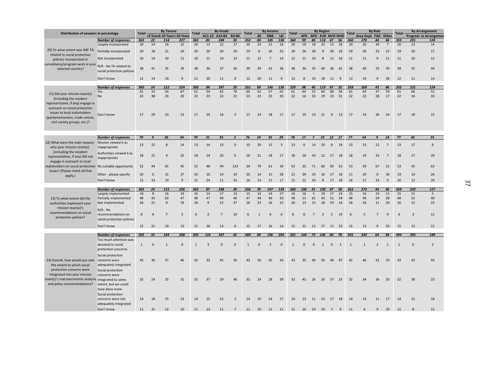|                                                                                                  |                                                             |              |                  | <b>By Tenure</b> |                             | <b>By Grade</b><br><b>Total</b> |                |                |                         |              |              | <b>By Income</b> |                | <b>By Region</b><br><b>Total</b> |            |                |                 |                |                         |           | <b>By Role</b><br>Total |                |                |              | <b>By Arrangement</b> |                       |  |
|--------------------------------------------------------------------------------------------------|-------------------------------------------------------------|--------------|------------------|------------------|-----------------------------|---------------------------------|----------------|----------------|-------------------------|--------------|--------------|------------------|----------------|----------------------------------|------------|----------------|-----------------|----------------|-------------------------|-----------|-------------------------|----------------|----------------|--------------|-----------------------|-----------------------|--|
| Distribution of answers in percentage                                                            |                                                             | <b>Total</b> |                  |                  | <3 Years3-10 Years>10 Years |                                 |                | A11-13 A14-B2  | <b>B3-B4</b>            | <b>Total</b> | AE           | <b>EME</b>       | LIC            |                                  | <b>AFR</b> |                | APD EUR MCD WHD |                |                         |           | Area Dept. FAD Other    |                |                | <b>Total</b> |                       | Program Io Arrangemen |  |
|                                                                                                  | <b>Number of responses</b><br>Largely incorporated          | 363<br>20    | 22<br>14         | 114<br>16        | 227<br>22                   | 363<br>20                       | 85<br>13       | 248<br>22      | 30<br>17                | 352<br>20    | 69<br>23     | 145<br>21        | 138<br>16      | 360<br>20                        | 99<br>18   | 40<br>18       | 118<br>25       | 47<br>13       | 56<br>18                | 360<br>20 | 270<br>20               | 44<br>34       | 46<br>7        | 355<br>20    | 231<br>23             | 124<br>14             |  |
| 20) To what extent was IMF TA                                                                    | Partially incorporated                                      | 20           | 18               | 21               | 20                          | 20                              | 20             | 20             | 20                      | 19           | 6            | 20               | 25             | 20                               | 26         | 28             | 9               | 30             | 16                      | 19        | 20                      | 23             | 15             | 19           | 20                    | 17                    |  |
| related to social protection<br>policies incorporated in                                         | Not incorporated                                            | 10           | 14               | 10               | 11                          | 10                              | 11             | 10             | 13                      | 11           | 12           | 7                | 14             | 11                               | 11         | 10             | 8               | 11             | 16                      | 11        | 11                      | 9              | 11             | 11           | 10                    | 11                    |  |
| surveillance/program work in your N/A - No TA related to<br>selected country?                    |                                                             | 38           | 41               | 35               | 39                          | 38                              | 36             | 37             | 50                      | 39           | 39           | 41               | 36             | 38                               | 36         | 35             | 40              | 36             | 41                      | 38        | 40                      | 25             | 39             | 39           | 35                    | 44                    |  |
|                                                                                                  | social protection policies                                  |              |                  |                  |                             |                                 |                |                |                         |              |              |                  |                |                                  |            |                |                 |                |                         |           |                         |                |                |              |                       |                       |  |
|                                                                                                  | Don't know                                                  | 12           | 14               | 18               | 9                           | 12                              | 20             | 11             | $\mathbf{0}$            | 12           | 20           | 11               | $\overline{9}$ | 12                               | 8          | 10             | 18              | 11             | 9                       | 12        | 10                      | 9              | 28             | 12           | 11                    | 14                    |  |
|                                                                                                  | <b>Number of responses</b>                                  | 360<br>61    | 24<br>33         | 112<br>54        | 224<br>67                   | 360<br>61                       | 84<br>54       | 247<br>62      | 29<br>76                | 351          | 69<br>62     | 146<br>57        | 136<br>63      | 359<br>61                        | 98<br>64   | 40<br>55       | 119<br>60       | 47<br>68       | 55<br>56                | 358       | 269<br>64               | 43<br>47       | 46<br>59       | 355          | 231<br>66             | 124<br>52             |  |
| 21) Did your mission team(s)                                                                     | Yes<br>No                                                   | 22           | 38               | 23               | 20                          | 22                              | 23             | 22             | 21                      | 60<br>23     | 23           | 25               | 20             | 22                               | 16         | 33             | 19              | 23             | 31                      | 61<br>22  | 22                      | 28             | 17             | 61<br>22     | 16                    | 33                    |  |
| (including the resident<br>representative, if any) engage in<br>outreach on social protection    |                                                             |              |                  |                  |                             |                                 |                |                |                         |              |              |                  |                |                                  |            |                |                 |                |                         |           |                         |                |                |              |                       |                       |  |
| issues to local stakeholders<br>(parliamentarians, trade unions,<br>civil society groups, etc.)? | Don't know                                                  | 17           | 29               | 23               | 13                          | 17                              | 24             | 16             | $\overline{3}$          | 17           | 14           | 18               | 17             | 17                               | 19         | 13             | 21              | 9              | 13                      | 17        | 14                      | 26             | 24             | 17           | 18                    | 15                    |  |
|                                                                                                  |                                                             |              |                  |                  |                             |                                 |                |                |                         |              |              |                  |                |                                  |            |                |                 |                |                         |           |                         |                |                |              |                       |                       |  |
|                                                                                                  | <b>Number of responses</b>                                  | 79           | $\boldsymbol{g}$ | 26               | 44                          | 79                              | 21             | 55             | $\overline{\mathbf{3}}$ | 76           | 14           | 33               | 29             | 78                               | 17         | $\overline{ }$ | 25              | 12             | 17                      | 77        | 54                      | 9              | 14             | 77           | 42                    | 35                    |  |
| 22) What were the main reasons                                                                   | Mission viewed it as                                        |              |                  |                  |                             |                                 |                |                |                         |              |              |                  |                |                                  |            |                |                 |                |                         |           |                         |                |                |              |                       |                       |  |
| why your mission team(s)<br>(including the resident                                              | inappropriate<br>Authorities viewed it as                   | 13           | 22               | 8                | 14                          | 13                              | 14             | 13             | $\mathbf{0}$            | 13           | 29           | 15               | $\overline{3}$ | 13                               | $\Omega$   | 14             | 20              | 8              | 18                      | 13        | 13                      | 22             | $\overline{7}$ | 13           | 17                    | $\overline{9}$        |  |
| representative, if any) did not<br>engage in outreach to local                                   | inappropriate                                               | 18           | 22               | 4                | 25                          | 18                              | 14             | 20             | $\mathbf{0}$            | 18           | 21           | 18               | 17             | 18                               | 18         | 43             | 12              | 17             | 18                      | 18        | 19                      | 33             | $\overline{7}$ | 18           | 17                    | 20                    |  |
| stakeholders on social protection No suitable opportunity<br>issues? (Please check all that      |                                                             | 52           | 44               | 65               | 45                          | 52                              | 48             | 49             | 133                     | 54           | 79           | 61               | 34             | 53                               | 35         | 71             | 60              | 50             | 53                      | 53        | 59                      | 67             | 21             | 53           | 45                    | 63                    |  |
| apply.)                                                                                          | Other - please specify                                      | 20           | $\mathbf 0$      | 15               | 27                          | 20                              | 10             | 24             | 33                      | 20           | 14           | 15               | 28             | 21                               | 29         | 29             | 16              | 17             | 18                      | 21        | 20                      | $\mathbf 0$    | 36             | 19           | 14                    | 26                    |  |
|                                                                                                  | Don't know                                                  | 15           | 33               | 19               | $\mathbf{q}$                | 15                              | 24             | 11             | 33                      | 16           | 14           | 15               | 17             | 15                               | 12         | 43             | 8               | 17             | 18                      | 16        | 17                      | 33             | $\mathbf{0}$   | 16           | 12                    | 20                    |  |
|                                                                                                  | <b>Number of responses</b>                                  | 365          | 24               | 115              | 226                         | 365                             | 87             | 248            | 30                      | 356          | 70           | 147              | 139            | 364                              | 100        | 41             | 120             | 47             | 56                      | 363       | 273                     | 44             | 46             | 359          | 232                   | 127                   |  |
|                                                                                                  | Largely implemented                                         | 16           | 8                | 16               | 16                          | 16                              | 14             | 17             | 13                      | 15           | 14           | 14               | 17             | 16                               | 16         | 5              | 19              | 17             | 14                      | 15        | 16                      | 14             | 11             | 15           | 21                    | 5                     |  |
| 23) To what extent did the                                                                       | Partially implemented                                       | 48           | 42               | 50               | 47                          | 48                              | 47             | 49             | 40                      | 47           | 44           | 46               | 50             | 48                               | 53         | 61             | 43              | 51             | 34                      | 48        | 49                      | 59             | 28             | 48           | 52                    | 40                    |  |
| authorities implement your                                                                       | Not implemented                                             | 16           | 21               | 9                | 19                          | 16                              | 9              | 15             | 37                      | 16           | 23           | 16               | 12             | 16                               | 13         | 15             | 18              | 19             | 14                      | 16        | 16                      | 11             | 20             | 16           | 12                    | 23                    |  |
| mission team(s)'s                                                                                | $N/A - No$                                                  |              |                  |                  |                             |                                 |                |                |                         |              |              |                  |                |                                  |            |                |                 |                |                         |           |                         |                |                |              |                       |                       |  |
| recommendations on social<br>protection policies?                                                | recommendations on<br>social protection policies            | 6            | 8                | $\overline{7}$   | 5                           | 6                               | $\overline{2}$ | $\overline{7}$ | 10                      | 6            | $\mathbf{1}$ | 8                | 6              | 6                                | 6          | $\overline{7}$ | 3               | $\overline{2}$ | 14                      | 6         | 5                       | $\overline{7}$ | 9              | 6            | $\overline{3}$        | 11                    |  |
|                                                                                                  | Don't know                                                  | 15           | 21               | 18               | 13                          | 15                              | 28             | 13             | $\mathbf 0$             | 15           | 17           | 16               | 14             | 15                               | 12         | 12 17 11 23    |                 |                |                         | - 15      | 13                      | 9              | 33             | 15           | 12                    | 21                    |  |
|                                                                                                  | <b>Number of responses</b>                                  | 505          | 33               | 164              | 308                         | 505                             | 116            | 347            | 42                      | 489          | 89           | 196              | 204            | 501                              | 144        | 73             | 146 60 78       |                |                         | 501       | 343                     | 64             | 94             | 494          | 295                   | 199                   |  |
|                                                                                                  | Too much attention was                                      |              |                  |                  |                             |                                 |                |                |                         |              |              |                  |                |                                  |            |                |                 |                |                         |           |                         |                |                |              |                       |                       |  |
|                                                                                                  | devoted to social<br>protection concerns                    | 1            | 6                | $\mathbf{1}$     | $\mathbf{0}$                | $\mathbf{1}$                    | $\overline{3}$ | $\Omega$       | $\Omega$                | $\mathbf{1}$ | $\Omega$     | $\overline{2}$   | $\mathbf 0$    | $\mathbf{1}$                     | $\Omega$   | $\Omega$       | 1               | $\mathbf{0}$   | $\overline{\mathbf{3}}$ | 1         | $\mathbf{1}$            | 2              | 1              | 1            | $\mathbf{0}$          | $\overline{2}$        |  |
|                                                                                                  | Social protection                                           |              | 30               | 37               | 46                          | 42                              | 33             | 45             | 50                      | 43           | 56           |                  | 34             | 43                               | 35         |                | 50              |                | 47                      | 42        | 46                      | 42             | 29             | 43           | 42                    | 43                    |  |
| 24) Overall, how would you rate concerns were<br>the extent to which social                      | adequately integrated                                       | 42           |                  |                  |                             |                                 |                |                |                         |              |              | 45               |                |                                  |            | 40             |                 | 40             |                         |           |                         |                |                |              |                       |                       |  |
| protection concerns were<br>integrated into your mission                                         | Social protection<br>concerns were                          |              |                  |                  |                             |                                 |                |                |                         |              |              |                  |                |                                  |            |                |                 |                |                         |           |                         |                |                |              |                       |                       |  |
| team(s)'s macroeconomic analysis integrated to some                                              |                                                             | 32           | 24               | 35               | 31                          | 32                              | 37             | 29             | 40                      | 32           | 24           | 28               | 39             | 32                               | 42         | 26             | 26              | 37 23          |                         | 32        | 34                      | 36             | 20             | 32           | 38                    | 23                    |  |
| and policy recommendations?                                                                      | extent, but we could<br>have done more<br>Social protection |              |                  |                  |                             |                                 |                |                |                         |              |              |                  |                |                                  |            |                |                 |                |                         |           |                         |                |                |              |                       |                       |  |
|                                                                                                  | concerns were not<br>adequately integrated                  | 14           | 18               | 15               | 13                          | 14                              | 15             | 15             | $\overline{2}$          | 14           | 10           | 14               | 17             | 14                               | 13         | 11             | 13              | 17 18          |                         | 14        | 14                      | 11             | 17             | 14           | 12                    | 18                    |  |
|                                                                                                  | Don't know                                                  | 11           | 21               | 12               | 10                          | 11                              | 13             | 11             |                         | 11           | 10           | 11               |                | 11                               | 10         | 23             |                 |                |                         |           |                         |                | 33             | 11           |                       | 15                    |  |